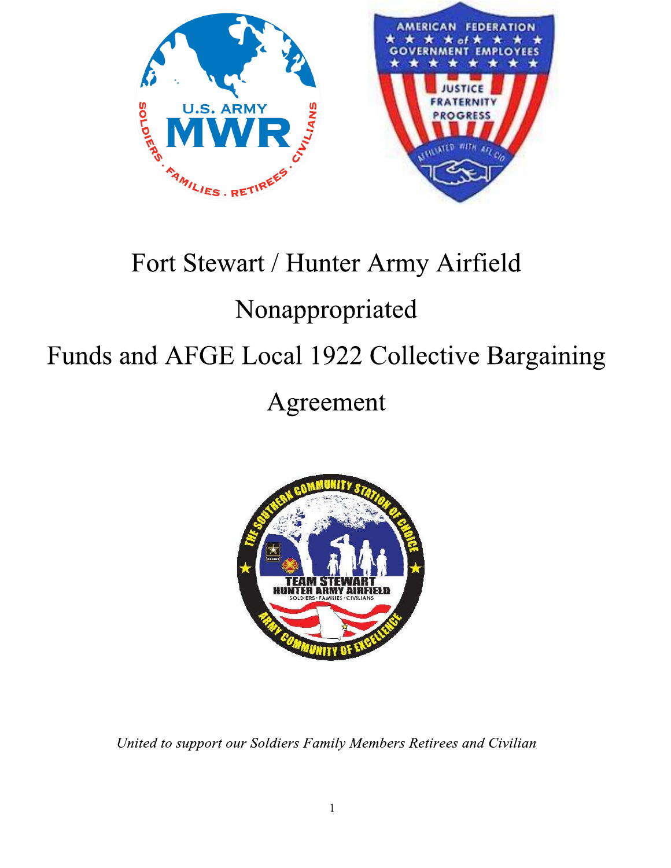



# Fort Stewart / Hunter Army Airfield

# Nonappropriated

## Funds and AFGE Local 1922 Collective Bargaining

## Agreement



United to support our Soldiers Family Members Retirees and Civilian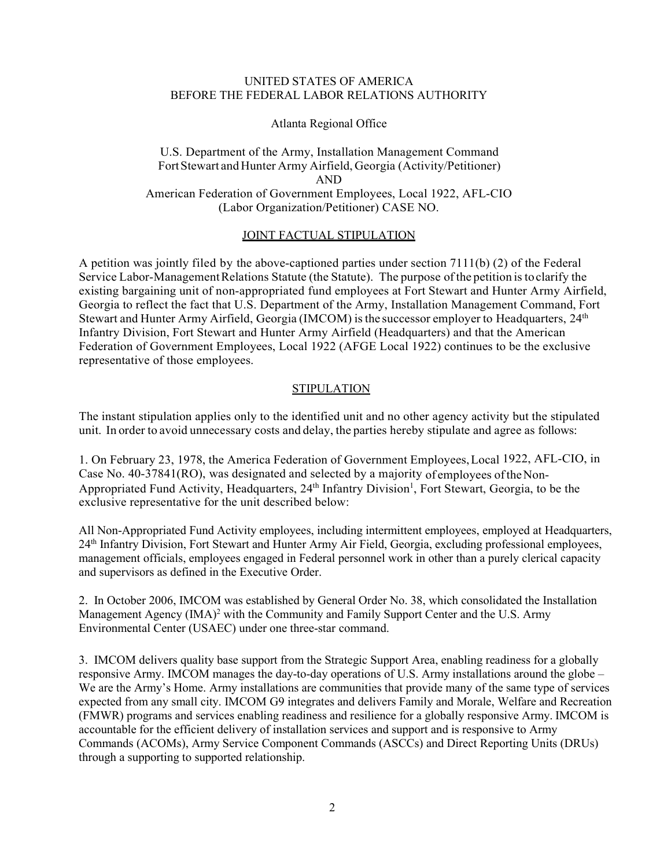#### UNITED STATES OF AMERICA BEFORE THE FEDERAL LABOR RELATIONS AUTHORITY

#### Atlanta Regional Office

## U.S. Department of the Army, Installation Management Command FortStewart and Hunter Army Airfield, Georgia (Activity/Petitioner) AND American Federation of Government Employees, Local 1922, AFL-CIO (Labor Organization/Petitioner) CASE NO.

#### JOINT FACTUAL STIPULATION

A petition was jointly filed by the above-captioned parties under section 7111(b) (2) of the Federal Service Labor-Management Relations Statute (the Statute). The purpose of the petition is to clarify the existing bargaining unit of non-appropriated fund employees at Fort Stewart and Hunter Army Airfield, Georgia to reflect the fact that U.S. Department of the Army, Installation Management Command, Fort Stewart and Hunter Army Airfield, Georgia (IMCOM) isthe successor employer to Headquarters, 24th Infantry Division, Fort Stewart and Hunter Army Airfield (Headquarters) and that the American Federation of Government Employees, Local 1922 (AFGE Local 1922) continues to be the exclusive representative of those employees.

## **STIPULATION**

The instant stipulation applies only to the identified unit and no other agency activity but the stipulated unit. In order to avoid unnecessary costs and delay, the parties hereby stipulate and agree as follows:

1. On February 23, 1978, the America Federation of Government Employees,Local 1922, AFL-CIO, in Case No. 40-37841(RO), was designated and selected by a majority of employees oftheNon-Appropriated Fund Activity, Headquarters, 24<sup>th</sup> Infantry Division<sup>1</sup>, Fort Stewart, Georgia, to be the exclusive representative for the unit described below:

All Non-Appropriated Fund Activity employees, including intermittent employees, employed at Headquarters, 24th Infantry Division, Fort Stewart and Hunter Army Air Field, Georgia, excluding professional employees, management officials, employees engaged in Federal personnel work in other than a purely clerical capacity and supervisors as defined in the Executive Order.

2. In October 2006, IMCOM was established by General Order No. 38, which consolidated the Installation Management Agency  $(IMA)^2$  with the Community and Family Support Center and the U.S. Army Environmental Center (USAEC) under one three-star command.

3. IMCOM delivers quality base support from the Strategic Support Area, enabling readiness for a globally responsive Army. IMCOM manages the day-to-day operations of U.S. Army installations around the globe – We are the Army's Home. Army installations are communities that provide many of the same type of services expected from any small city. IMCOM G9 integrates and delivers Family and Morale, Welfare and Recreation (FMWR) programs and services enabling readiness and resilience for a globally responsive Army. IMCOM is accountable for the efficient delivery of installation services and support and is responsive to Army Commands (ACOMs), Army Service Component Commands (ASCCs) and Direct Reporting Units (DRUs) through a supporting to supported relationship.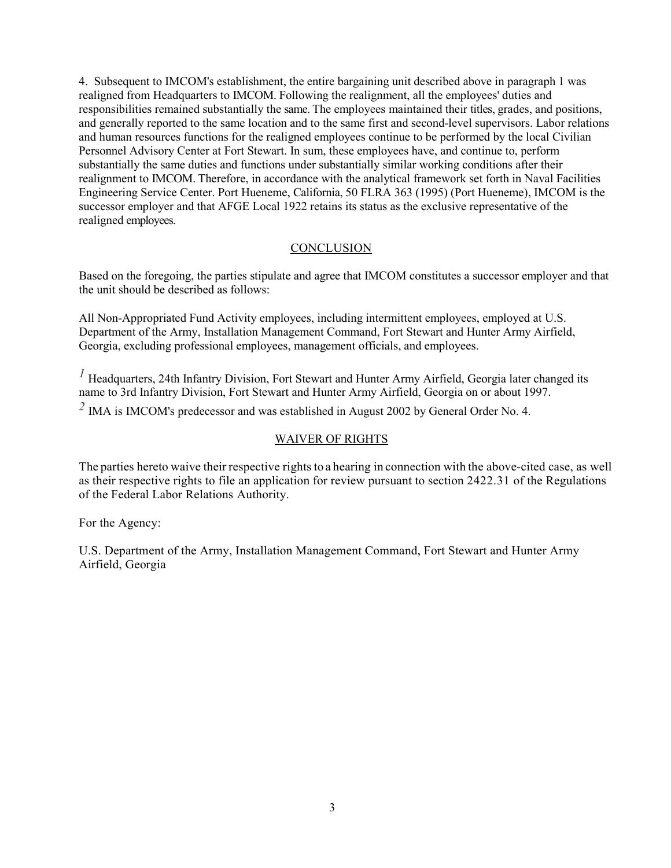4. Subsequent to IMCOM's establishment, the entire bargaining unit described above in paragraph 1 was realigned from Headquarters to IMCOM. Following the realignment, all the employees' duties and responsibilities remained substantially the same. The employees maintained their titles, grades, and positions, and generally reported to the same location and to the same first and second-level supervisors. Labor relations and human resources functions for the realigned employees continue to be performed by the local Civilian Personnel Advisory Center at Fort Stewart. In sum, these employees have, and continue to, perform substantially the same duties and functions under substantially similar working conditions after their realignment to IMCOM. Therefore, in accordance with the analytical framework set forth in Naval Facilities Engineering Service Center. Port Hueneme, California, 50 FLRA 363 (1995) (Port Hueneme), IMCOM is the successor employer and that AFGE Local 1922 retains its status as the exclusive representative of the realigned employees.

#### **CONCLUSION**

Based on the foregoing, the parties stipulate and agree that IMCOM constitutes a successor employer and that the unit should be described as follows:

All Non-Appropriated Fund Activity employees, including intermittent employees, employed at U.S. Department of the Army, Installation Management Command, Fort Stewart and Hunter Army Airfield, Georgia, excluding professional employees, management officials, and employees.

*1* Headquarters, 24th Infantry Division, Fort Stewart and Hunter Army Airfield, Georgia later changed its name to 3rd Infantry Division, Fort Stewart and Hunter Army Airfield, Georgia on or about 1997.

*2* IMA is IMCOM's predecessor and was established in August 2002 by General Order No. 4.

## WAIVER OF RIGHTS

The parties hereto waive their respective rights to a hearing in connection with the above-cited case, as well as their respective rights to file an application for review pursuant to section 2422.31 of the Regulations of the Federal Labor Relations Authority.

For the Agency:

U.S. Department of the Army, Installation Management Command, Fort Stewart and Hunter Army Airfield, Georgia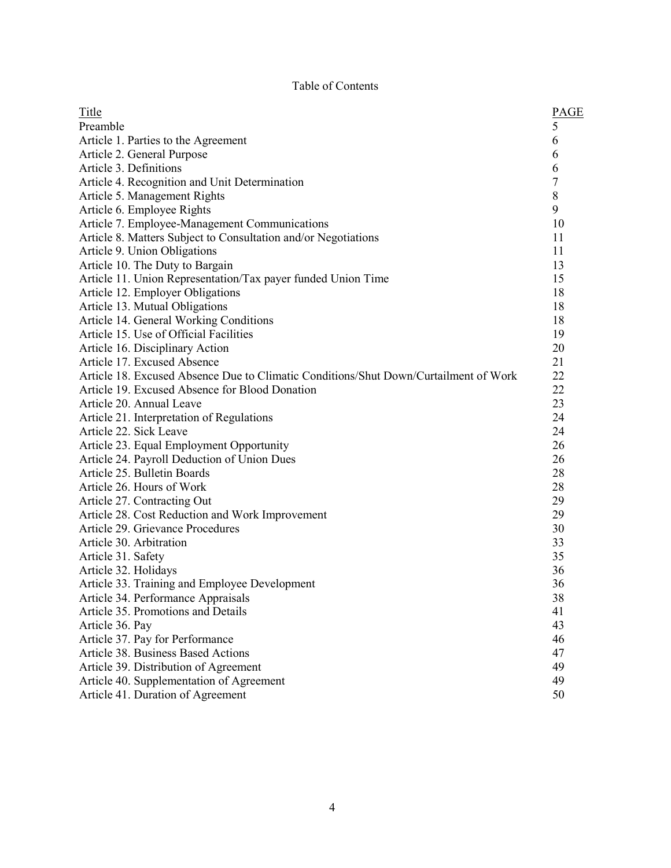## Table of Contents

| Title                                                                                | <b>PAGE</b>    |
|--------------------------------------------------------------------------------------|----------------|
| Preamble                                                                             | 5              |
| Article 1. Parties to the Agreement                                                  | 6              |
| Article 2. General Purpose                                                           | 6              |
| Article 3. Definitions                                                               | 6              |
| Article 4. Recognition and Unit Determination                                        | $\overline{7}$ |
| Article 5. Management Rights                                                         | $\,$ $\,$      |
| Article 6. Employee Rights                                                           | 9              |
| Article 7. Employee-Management Communications                                        | 10             |
| Article 8. Matters Subject to Consultation and/or Negotiations                       | 11             |
| Article 9. Union Obligations                                                         | 11             |
| Article 10. The Duty to Bargain                                                      | 13             |
| Article 11. Union Representation/Tax payer funded Union Time                         | 15             |
| Article 12. Employer Obligations                                                     | 18             |
| Article 13. Mutual Obligations                                                       | 18             |
| Article 14. General Working Conditions                                               | 18             |
| Article 15. Use of Official Facilities                                               | 19             |
| Article 16. Disciplinary Action                                                      | 20             |
| Article 17. Excused Absence                                                          | 21             |
| Article 18. Excused Absence Due to Climatic Conditions/Shut Down/Curtailment of Work | 22             |
| Article 19. Excused Absence for Blood Donation                                       | 22             |
| Article 20. Annual Leave                                                             | 23             |
| Article 21. Interpretation of Regulations                                            | 24             |
| Article 22. Sick Leave                                                               | 24             |
| Article 23. Equal Employment Opportunity                                             | 26             |
| Article 24. Payroll Deduction of Union Dues                                          | 26             |
| Article 25. Bulletin Boards                                                          | 28             |
| Article 26. Hours of Work                                                            | 28             |
| Article 27. Contracting Out                                                          | 29             |
| Article 28. Cost Reduction and Work Improvement                                      | 29             |
| Article 29. Grievance Procedures                                                     | 30             |
| Article 30. Arbitration                                                              | 33             |
| Article 31. Safety                                                                   | 35             |
| Article 32. Holidays                                                                 | 36             |
| Article 33. Training and Employee Development                                        | 36             |
| Article 34. Performance Appraisals                                                   | 38             |
| Article 35. Promotions and Details                                                   | 41             |
| Article 36. Pay                                                                      | 43             |
| Article 37. Pay for Performance                                                      | 46             |
| <b>Article 38. Business Based Actions</b>                                            | 47             |
| Article 39. Distribution of Agreement                                                | 49             |
| Article 40. Supplementation of Agreement                                             | 49             |
| Article 41. Duration of Agreement                                                    | 50             |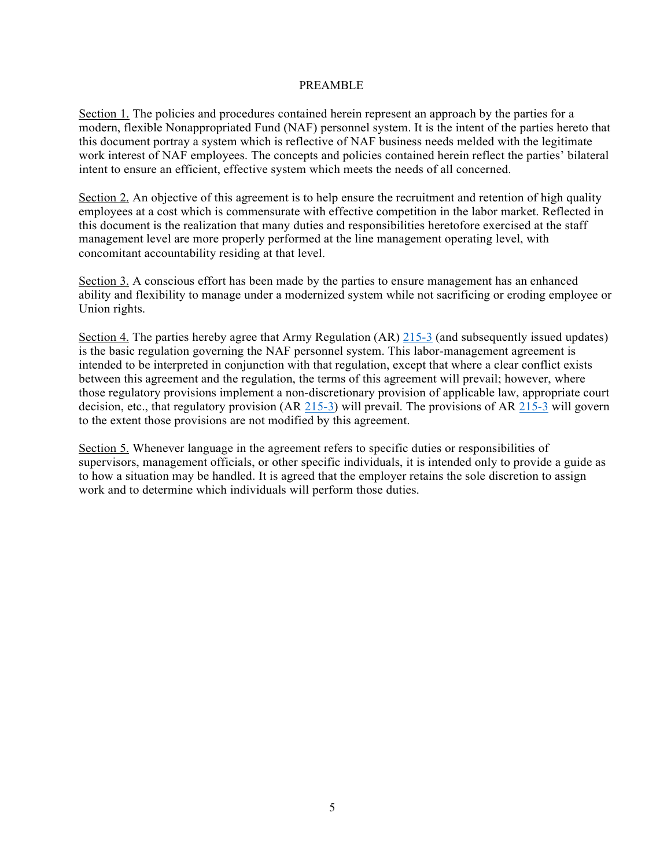#### PREAMBLE

Section 1. The policies and procedures contained herein represent an approach by the parties for a modern, flexible Nonappropriated Fund (NAF) personnel system. It is the intent of the parties hereto that this document portray a system which is reflective of NAF business needs melded with the legitimate work interest of NAF employees. The concepts and policies contained herein reflect the parties' bilateral intent to ensure an efficient, effective system which meets the needs of all concerned.

Section 2. An objective of this agreement is to help ensure the recruitment and retention of high quality employees at a cost which is commensurate with effective competition in the labor market. Reflected in this document is the realization that many duties and responsibilities heretofore exercised at the staff management level are more properly performed at the line management operating level, with concomitant accountability residing at that level.

Section 3. A conscious effort has been made by the parties to ensure management has an enhanced ability and flexibility to manage under a modernized system while not sacrificing or eroding employee or Union rights.

Section 4. The parties hereby agree that Army Regulation (AR) 215-3 (and subsequently issued updates) is the basic regulation governing the NAF personnel system. This labor-management agreement is intended to be interpreted in conjunction with that regulation, except that where a clear conflict exists between this agreement and the regulation, the terms of this agreement will prevail; however, where those regulatory provisions implement a non-discretionary provision of applicable law, appropriate court decision, etc., that regulatory provision (AR 215-3) will prevail. The provisions of AR 215-3 will govern to the extent those provisions are not modified by this agreement.

Section 5. Whenever language in the agreement refers to specific duties or responsibilities of supervisors, management officials, or other specific individuals, it is intended only to provide a guide as to how a situation may be handled. It is agreed that the employer retains the sole discretion to assign work and to determine which individuals will perform those duties.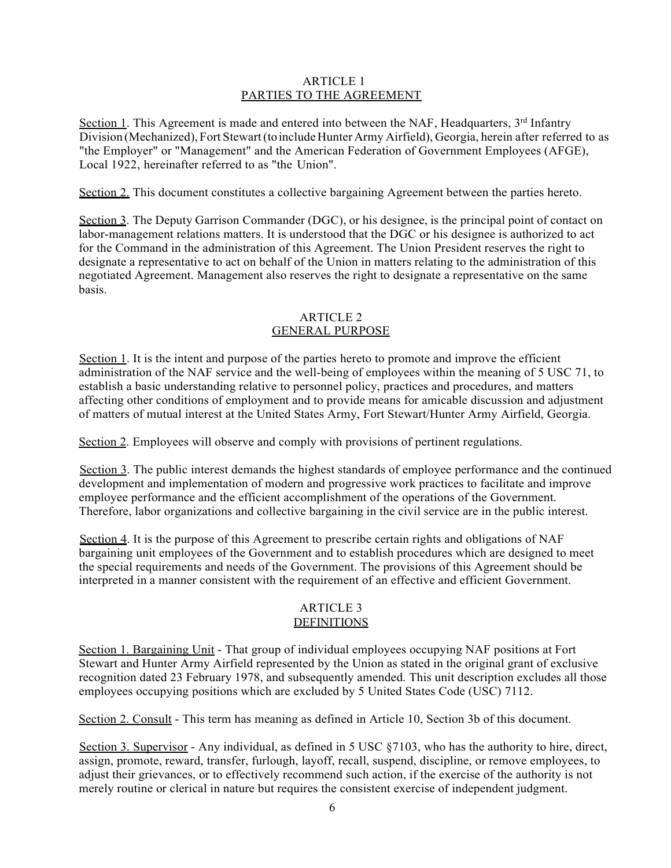#### ARTICLE 1 PARTIES TO THE AGREEMENT

Section 1. This Agreement is made and entered into between the NAF, Headquarters,  $3<sup>rd</sup>$  Infantry Division (Mechanized), Fort Stewart (to include Hunter Army Airfield), Georgia, herein after referred to as "the Employer" or "Management" and the American Federation of Government Employees (AFGE), Local 1922, hereinafter referred to as "the Union".

Section 2. This document constitutes a collective bargaining Agreement between the parties hereto.

Section 3. The Deputy Garrison Commander (DGC), or his designee, is the principal point of contact on labor-management relations matters. It is understood that the DGC or his designee is authorized to act for the Command in the administration of this Agreement. The Union President reserves the right to designate a representative to act on behalf of the Union in matters relating to the administration of this negotiated Agreement. Management also reserves the right to designate a representative on the same basis.

## ARTICLE 2 GENERAL PURPOSE

Section 1. It is the intent and purpose of the parties hereto to promote and improve the efficient administration of the NAF service and the well-being of employees within the meaning of 5 USC 71, to establish a basic understanding relative to personnel policy, practices and procedures, and matters affecting other conditions of employment and to provide means for amicable discussion and adjustment of matters of mutual interest at the United States Army, Fort Stewart/Hunter Army Airfield, Georgia.

Section 2. Employees will observe and comply with provisions of pertinent regulations.

Section 3. The public interest demands the highest standards of employee performance and the continued development and implementation of modern and progressive work practices to facilitate and improve employee performance and the efficient accomplishment of the operations of the Government. Therefore, labor organizations and collective bargaining in the civil service are in the public interest.

Section 4. It is the purpose of this Agreement to prescribe certain rights and obligations of NAF bargaining unit employees of the Government and to establish procedures which are designed to meet the special requirements and needs of the Government. The provisions of this Agreement should be interpreted in a manner consistent with the requirement of an effective and efficient Government.

#### ARTICLE 3 DEFINITIONS

Section 1. Bargaining Unit - That group of individual employees occupying NAF positions at Fort Stewart and Hunter Army Airfield represented by the Union as stated in the original grant of exclusive recognition dated 23 February 1978, and subsequently amended. This unit description excludes all those employees occupying positions which are excluded by 5 United States Code (USC) 7112.

Section 2. Consult - This term has meaning as defined in Article 10, Section 3b of this document.

Section 3. Supervisor - Any individual, as defined in 5 USC §7103, who has the authority to hire, direct, assign, promote, reward, transfer, furlough, layoff, recall, suspend, discipline, or remove employees, to adjust their grievances, or to effectively recommend such action, if the exercise of the authority is not merely routine or clerical in nature but requires the consistent exercise of independent judgment.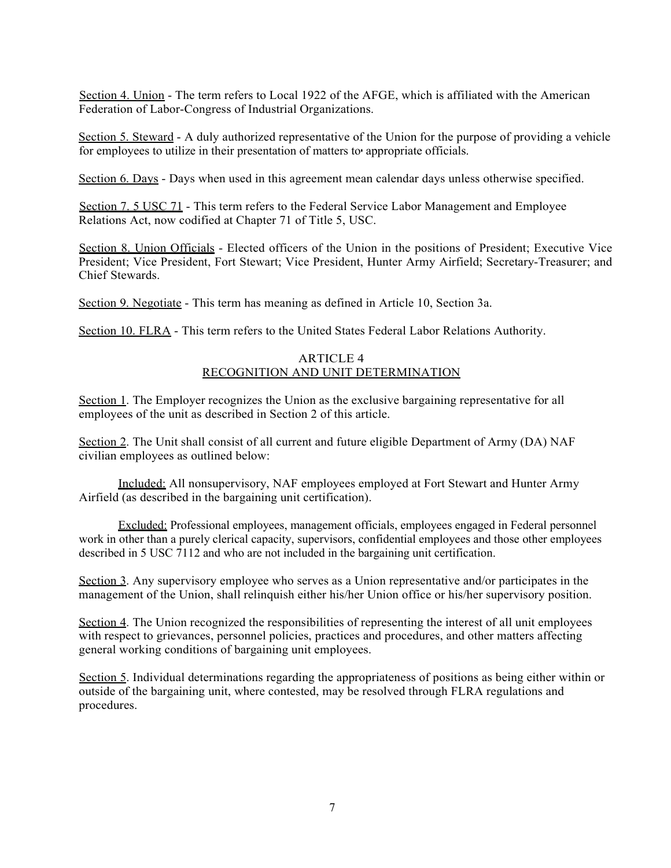Section 4. Union - The term refers to Local 1922 of the AFGE, which is affiliated with the American Federation of Labor-Congress of Industrial Organizations.

Section 5. Steward - A duly authorized representative of the Union for the purpose of providing a vehicle for employees to utilize in their presentation of matters to• appropriate officials.

Section 6. Days - Days when used in this agreement mean calendar days unless otherwise specified.

Section 7. 5 USC 71 - This term refers to the Federal Service Labor Management and Employee Relations Act, now codified at Chapter 71 of Title 5, USC.

Section 8. Union Officials - Elected officers of the Union in the positions of President; Executive Vice President; Vice President, Fort Stewart; Vice President, Hunter Army Airfield; Secretary-Treasurer; and Chief Stewards.

Section 9. Negotiate - This term has meaning as defined in Article 10, Section 3a.

Section 10. FLRA - This term refers to the United States Federal Labor Relations Authority.

#### ARTICLE 4 RECOGNITION AND UNIT DETERMINATION

Section 1. The Employer recognizes the Union as the exclusive bargaining representative for all employees of the unit as described in Section 2 of this article.

Section 2. The Unit shall consist of all current and future eligible Department of Army (DA) NAF civilian employees as outlined below:

Included: All nonsupervisory, NAF employees employed at Fort Stewart and Hunter Army Airfield (as described in the bargaining unit certification).

Excluded: Professional employees, management officials, employees engaged in Federal personnel work in other than a purely clerical capacity, supervisors, confidential employees and those other employees described in 5 USC 7112 and who are not included in the bargaining unit certification.

Section 3. Any supervisory employee who serves as a Union representative and/or participates in the management of the Union, shall relinquish either his/her Union office or his/her supervisory position.

Section 4. The Union recognized the responsibilities of representing the interest of all unit employees with respect to grievances, personnel policies, practices and procedures, and other matters affecting general working conditions of bargaining unit employees.

Section 5. Individual determinations regarding the appropriateness of positions as being either within or outside of the bargaining unit, where contested, may be resolved through FLRA regulations and procedures.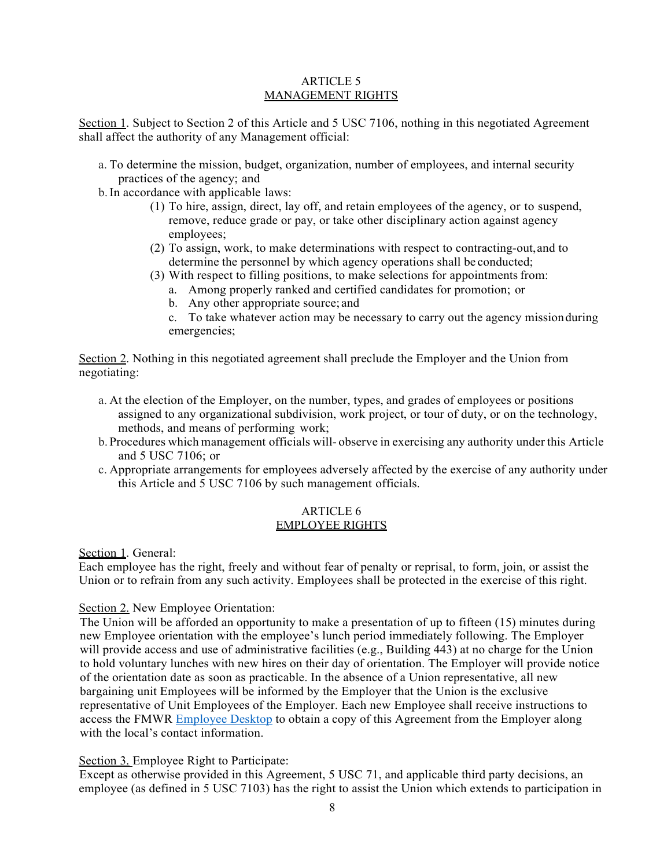#### ARTICLE 5 MANAGEMENT RIGHTS

Section 1. Subject to Section 2 of this Article and 5 USC 7106, nothing in this negotiated Agreement shall affect the authority of any Management official:

- a. To determine the mission, budget, organization, number of employees, and internal security practices of the agency; and
- b.In accordance with applicable laws:
	- (1) To hire, assign, direct, lay off, and retain employees of the agency, or to suspend, remove, reduce grade or pay, or take other disciplinary action against agency employees;
	- (2) To assign, work, to make determinations with respect to contracting-out,and to determine the personnel by which agency operations shall be conducted;
	- (3) With respect to filling positions, to make selections for appointments from:
		- a. Among properly ranked and certified candidates for promotion; or
		- b. Any other appropriate source; and
		- c. To take whatever action may be necessary to carry out the agency missionduring emergencies;

Section 2. Nothing in this negotiated agreement shall preclude the Employer and the Union from negotiating:

- a. At the election of the Employer, on the number, types, and grades of employees or positions assigned to any organizational subdivision, work project, or tour of duty, or on the technology, methods, and means of performing work;
- b. Procedures which management officials will- observe in exercising any authority under this Article and 5 USC 7106; or
- c. Appropriate arrangements for employees adversely affected by the exercise of any authority under this Article and 5 USC 7106 by such management officials.

#### ARTICLE 6 EMPLOYEE RIGHTS

Section 1. General:

Each employee has the right, freely and without fear of penalty or reprisal, to form, join, or assist the Union or to refrain from any such activity. Employees shall be protected in the exercise of this right.

## Section 2. New Employee Orientation:

The Union will be afforded an opportunity to make a presentation of up to fifteen (15) minutes during new Employee orientation with the employee's lunch period immediately following. The Employer will provide access and use of administrative facilities (e.g., Building 443) at no charge for the Union to hold voluntary lunches with new hires on their day of orientation. The Employer will provide notice of the orientation date as soon as practicable. In the absence of a Union representative, all new bargaining unit Employees will be informed by the Employer that the Union is the exclusive representative of Unit Employees of the Employer. Each new Employee shall receive instructions to access the FMWR Employee Desktop to obtain a copy of this Agreement from the Employer along with the local's contact information.

## Section 3. Employee Right to Participate:

Except as otherwise provided in this Agreement, 5 USC 71, and applicable third party decisions, an employee (as defined in 5 USC 7103) has the right to assist the Union which extends to participation in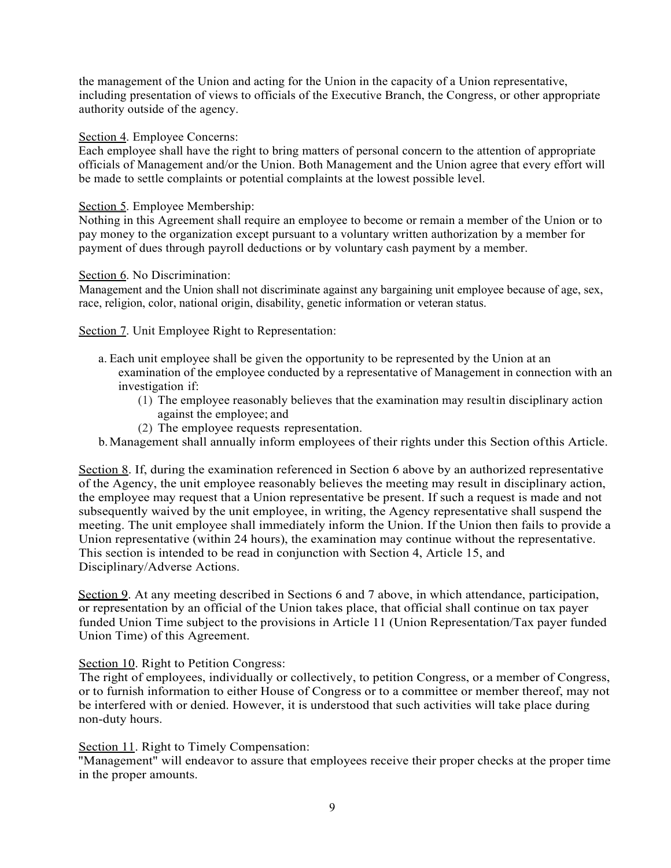the management of the Union and acting for the Union in the capacity of a Union representative, including presentation of views to officials of the Executive Branch, the Congress, or other appropriate authority outside of the agency.

#### Section 4. Employee Concerns:

Each employee shall have the right to bring matters of personal concern to the attention of appropriate officials of Management and/or the Union. Both Management and the Union agree that every effort will be made to settle complaints or potential complaints at the lowest possible level.

#### Section 5. Employee Membership:

Nothing in this Agreement shall require an employee to become or remain a member of the Union or to pay money to the organization except pursuant to a voluntary written authorization by a member for payment of dues through payroll deductions or by voluntary cash payment by a member.

#### Section 6. No Discrimination:

Management and the Union shall not discriminate against any bargaining unit employee because of age, sex, race, religion, color, national origin, disability, genetic information or veteran status.

#### Section 7. Unit Employee Right to Representation:

- a. Each unit employee shall be given the opportunity to be represented by the Union at an examination of the employee conducted by a representative of Management in connection with an investigation if:
	- (1) The employee reasonably believes that the examination may resultin disciplinary action against the employee; and
	- (2) The employee requests representation.
- b.Management shall annually inform employees of their rights under this Section ofthis Article.

Section 8. If, during the examination referenced in Section 6 above by an authorized representative of the Agency, the unit employee reasonably believes the meeting may result in disciplinary action, the employee may request that a Union representative be present. If such a request is made and not subsequently waived by the unit employee, in writing, the Agency representative shall suspend the meeting. The unit employee shall immediately inform the Union. If the Union then fails to provide a Union representative (within 24 hours), the examination may continue without the representative. This section is intended to be read in conjunction with Section 4, Article 15, and Disciplinary/Adverse Actions.

Section 9. At any meeting described in Sections 6 and 7 above, in which attendance, participation, or representation by an official of the Union takes place, that official shall continue on tax payer funded Union Time subject to the provisions in Article 11 (Union Representation/Tax payer funded Union Time) of this Agreement.

## Section 10. Right to Petition Congress:

The right of employees, individually or collectively, to petition Congress, or a member of Congress, or to furnish information to either House of Congress or to a committee or member thereof, may not be interfered with or denied. However, it is understood that such activities will take place during non-duty hours.

#### Section 11. Right to Timely Compensation:

"Management" will endeavor to assure that employees receive their proper checks at the proper time in the proper amounts.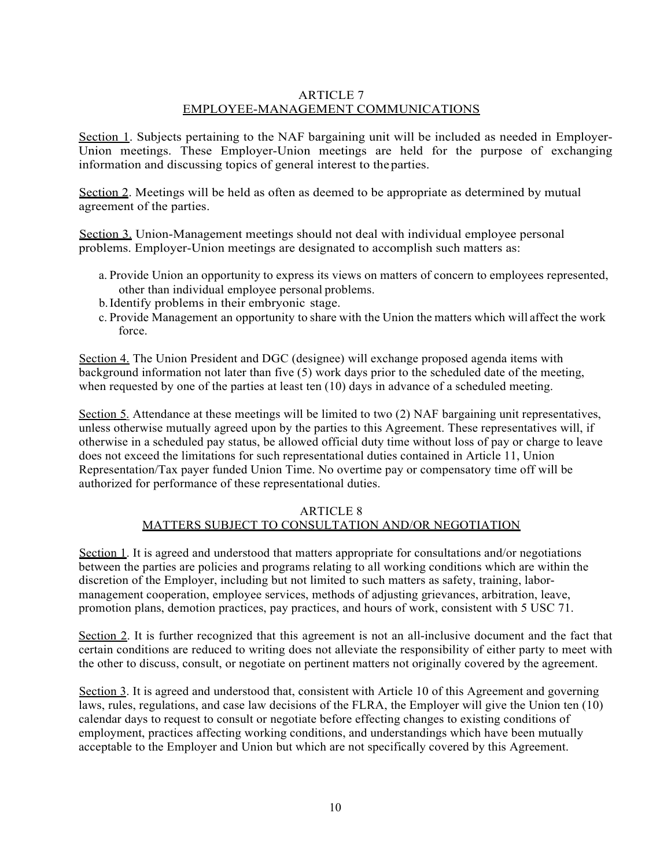## ARTICLE 7 EMPLOYEE-MANAGEMENT COMMUNICATIONS

Section 1. Subjects pertaining to the NAF bargaining unit will be included as needed in Employer-Union meetings. These Employer-Union meetings are held for the purpose of exchanging information and discussing topics of general interest to theparties.

Section 2. Meetings will be held as often as deemed to be appropriate as determined by mutual agreement of the parties.

Section 3. Union-Management meetings should not deal with individual employee personal problems. Employer-Union meetings are designated to accomplish such matters as:

- a. Provide Union an opportunity to express its views on matters of concern to employees represented, other than individual employee personal problems.
- b.Identify problems in their embryonic stage.
- c. Provide Management an opportunity to share with the Union the matters which will affect the work force.

Section 4. The Union President and DGC (designee) will exchange proposed agenda items with background information not later than five (5) work days prior to the scheduled date of the meeting, when requested by one of the parties at least ten (10) days in advance of a scheduled meeting.

Section 5. Attendance at these meetings will be limited to two (2) NAF bargaining unit representatives, unless otherwise mutually agreed upon by the parties to this Agreement. These representatives will, if otherwise in a scheduled pay status, be allowed official duty time without loss of pay or charge to leave does not exceed the limitations for such representational duties contained in Article 11, Union Representation/Tax payer funded Union Time. No overtime pay or compensatory time off will be authorized for performance of these representational duties.

#### ARTICLE 8 MATTERS SUBJECT TO CONSULTATION AND/OR NEGOTIATION

Section 1. It is agreed and understood that matters appropriate for consultations and/or negotiations between the parties are policies and programs relating to all working conditions which are within the discretion of the Employer, including but not limited to such matters as safety, training, labormanagement cooperation, employee services, methods of adjusting grievances, arbitration, leave, promotion plans, demotion practices, pay practices, and hours of work, consistent with 5 USC 71.

Section 2. It is further recognized that this agreement is not an all-inclusive document and the fact that certain conditions are reduced to writing does not alleviate the responsibility of either party to meet with the other to discuss, consult, or negotiate on pertinent matters not originally covered by the agreement.

Section 3. It is agreed and understood that, consistent with Article 10 of this Agreement and governing laws, rules, regulations, and case law decisions of the FLRA, the Employer will give the Union ten (10) calendar days to request to consult or negotiate before effecting changes to existing conditions of employment, practices affecting working conditions, and understandings which have been mutually acceptable to the Employer and Union but which are not specifically covered by this Agreement.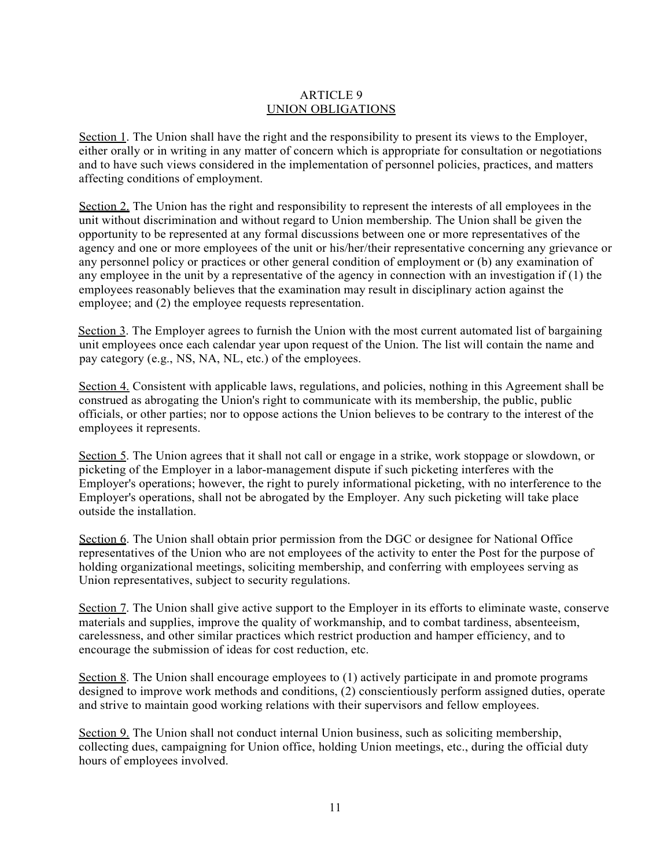## ARTICLE 9 UNION OBLIGATIONS

Section 1. The Union shall have the right and the responsibility to present its views to the Employer, either orally or in writing in any matter of concern which is appropriate for consultation or negotiations and to have such views considered in the implementation of personnel policies, practices, and matters affecting conditions of employment.

Section 2. The Union has the right and responsibility to represent the interests of all employees in the unit without discrimination and without regard to Union membership. The Union shall be given the opportunity to be represented at any formal discussions between one or more representatives of the agency and one or more employees of the unit or his/her/their representative concerning any grievance or any personnel policy or practices or other general condition of employment or (b) any examination of any employee in the unit by a representative of the agency in connection with an investigation if (1) the employees reasonably believes that the examination may result in disciplinary action against the employee; and (2) the employee requests representation.

Section 3. The Employer agrees to furnish the Union with the most current automated list of bargaining unit employees once each calendar year upon request of the Union. The list will contain the name and pay category (e.g., NS, NA, NL, etc.) of the employees.

Section 4. Consistent with applicable laws, regulations, and policies, nothing in this Agreement shall be construed as abrogating the Union's right to communicate with its membership, the public, public officials, or other parties; nor to oppose actions the Union believes to be contrary to the interest of the employees it represents.

Section 5. The Union agrees that it shall not call or engage in a strike, work stoppage or slowdown, or picketing of the Employer in a labor-management dispute if such picketing interferes with the Employer's operations; however, the right to purely informational picketing, with no interference to the Employer's operations, shall not be abrogated by the Employer. Any such picketing will take place outside the installation.

Section 6. The Union shall obtain prior permission from the DGC or designee for National Office representatives of the Union who are not employees of the activity to enter the Post for the purpose of holding organizational meetings, soliciting membership, and conferring with employees serving as Union representatives, subject to security regulations.

Section 7. The Union shall give active support to the Employer in its efforts to eliminate waste, conserve materials and supplies, improve the quality of workmanship, and to combat tardiness, absenteeism, carelessness, and other similar practices which restrict production and hamper efficiency, and to encourage the submission of ideas for cost reduction, etc.

Section 8. The Union shall encourage employees to (1) actively participate in and promote programs designed to improve work methods and conditions, (2) conscientiously perform assigned duties, operate and strive to maintain good working relations with their supervisors and fellow employees.

Section 9. The Union shall not conduct internal Union business, such as soliciting membership, collecting dues, campaigning for Union office, holding Union meetings, etc., during the official duty hours of employees involved.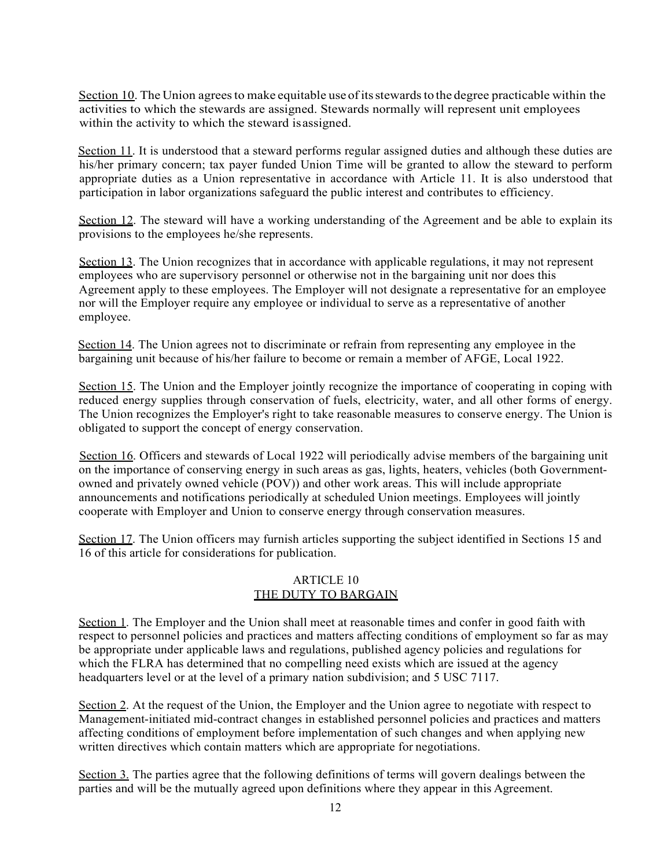Section 10. The Union agrees to make equitable use of its stewards to the degree practicable within the activities to which the stewards are assigned. Stewards normally will represent unit employees within the activity to which the steward is assigned.

Section 11. It is understood that a steward performs regular assigned duties and although these duties are his/her primary concern; tax payer funded Union Time will be granted to allow the steward to perform appropriate duties as a Union representative in accordance with Article 11. It is also understood that participation in labor organizations safeguard the public interest and contributes to efficiency.

Section 12. The steward will have a working understanding of the Agreement and be able to explain its provisions to the employees he/she represents.

Section 13. The Union recognizes that in accordance with applicable regulations, it may not represent employees who are supervisory personnel or otherwise not in the bargaining unit nor does this Agreement apply to these employees. The Employer will not designate a representative for an employee nor will the Employer require any employee or individual to serve as a representative of another employee.

Section 14. The Union agrees not to discriminate or refrain from representing any employee in the bargaining unit because of his/her failure to become or remain a member of AFGE, Local 1922.

Section 15. The Union and the Employer jointly recognize the importance of cooperating in coping with reduced energy supplies through conservation of fuels, electricity, water, and all other forms of energy. The Union recognizes the Employer's right to take reasonable measures to conserve energy. The Union is obligated to support the concept of energy conservation.

Section 16. Officers and stewards of Local 1922 will periodically advise members of the bargaining unit on the importance of conserving energy in such areas as gas, lights, heaters, vehicles (both Governmentowned and privately owned vehicle (POV)) and other work areas. This will include appropriate announcements and notifications periodically at scheduled Union meetings. Employees will jointly cooperate with Employer and Union to conserve energy through conservation measures.

Section 17. The Union officers may furnish articles supporting the subject identified in Sections 15 and 16 of this article for considerations for publication.

## ARTICLE 10 THE DUTY TO BARGAIN

Section 1. The Employer and the Union shall meet at reasonable times and confer in good faith with respect to personnel policies and practices and matters affecting conditions of employment so far as may be appropriate under applicable laws and regulations, published agency policies and regulations for which the FLRA has determined that no compelling need exists which are issued at the agency headquarters level or at the level of a primary nation subdivision; and 5 USC 7117.

Section 2. At the request of the Union, the Employer and the Union agree to negotiate with respect to Management-initiated mid-contract changes in established personnel policies and practices and matters affecting conditions of employment before implementation of such changes and when applying new written directives which contain matters which are appropriate for negotiations.

Section 3. The parties agree that the following definitions of terms will govern dealings between the parties and will be the mutually agreed upon definitions where they appear in this Agreement.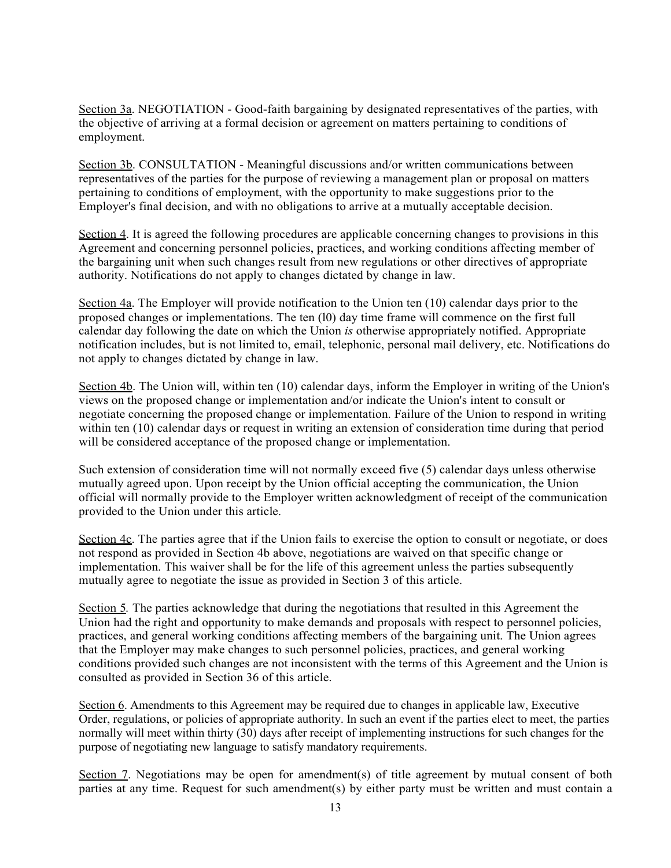Section 3a. NEGOTIATION - Good-faith bargaining by designated representatives of the parties, with the objective of arriving at a formal decision or agreement on matters pertaining to conditions of employment.

Section 3b. CONSULTATION - Meaningful discussions and/or written communications between representatives of the parties for the purpose of reviewing a management plan or proposal on matters pertaining to conditions of employment, with the opportunity to make suggestions prior to the Employer's final decision, and with no obligations to arrive at a mutually acceptable decision.

Section 4. It is agreed the following procedures are applicable concerning changes to provisions in this Agreement and concerning personnel policies, practices, and working conditions affecting member of the bargaining unit when such changes result from new regulations or other directives of appropriate authority. Notifications do not apply to changes dictated by change in law.

Section 4a. The Employer will provide notification to the Union ten (10) calendar days prior to the proposed changes or implementations. The ten (l0) day time frame will commence on the first full calendar day following the date on which the Union *is* otherwise appropriately notified. Appropriate notification includes, but is not limited to, email, telephonic, personal mail delivery, etc. Notifications do not apply to changes dictated by change in law.

Section 4b. The Union will, within ten (10) calendar days, inform the Employer in writing of the Union's views on the proposed change or implementation and/or indicate the Union's intent to consult or negotiate concerning the proposed change or implementation. Failure of the Union to respond in writing within ten (10) calendar days or request in writing an extension of consideration time during that period will be considered acceptance of the proposed change or implementation.

Such extension of consideration time will not normally exceed five (5) calendar days unless otherwise mutually agreed upon. Upon receipt by the Union official accepting the communication, the Union official will normally provide to the Employer written acknowledgment of receipt of the communication provided to the Union under this article.

Section 4c. The parties agree that if the Union fails to exercise the option to consult or negotiate, or does not respond as provided in Section 4b above, negotiations are waived on that specific change or implementation. This waiver shall be for the life of this agreement unless the parties subsequently mutually agree to negotiate the issue as provided in Section 3 of this article.

Section 5*.* The parties acknowledge that during the negotiations that resulted in this Agreement the Union had the right and opportunity to make demands and proposals with respect to personnel policies, practices, and general working conditions affecting members of the bargaining unit. The Union agrees that the Employer may make changes to such personnel policies, practices, and general working conditions provided such changes are not inconsistent with the terms of this Agreement and the Union is consulted as provided in Section 36 of this article.

Section 6. Amendments to this Agreement may be required due to changes in applicable law, Executive Order, regulations, or policies of appropriate authority. In such an event if the parties elect to meet, the parties normally will meet within thirty (30) days after receipt of implementing instructions for such changes for the purpose of negotiating new language to satisfy mandatory requirements.

Section 7. Negotiations may be open for amendment(s) of title agreement by mutual consent of both parties at any time. Request for such amendment(s) by either party must be written and must contain a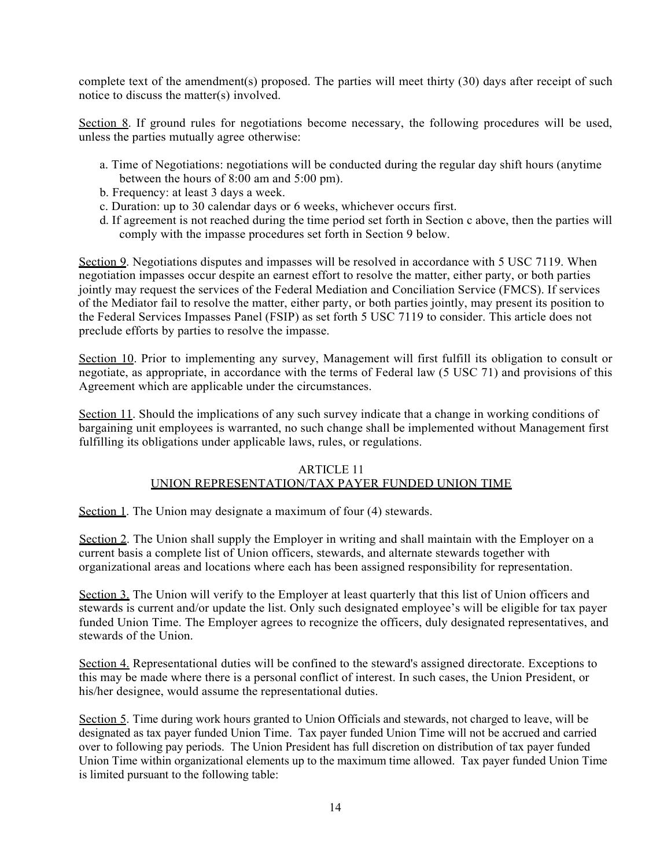complete text of the amendment(s) proposed. The parties will meet thirty (30) days after receipt of such notice to discuss the matter(s) involved.

Section 8. If ground rules for negotiations become necessary, the following procedures will be used, unless the parties mutually agree otherwise:

- a. Time of Negotiations: negotiations will be conducted during the regular day shift hours (anytime between the hours of 8:00 am and 5:00 pm).
- b. Frequency: at least 3 days a week.
- c. Duration: up to 30 calendar days or 6 weeks, whichever occurs first.
- d. If agreement is not reached during the time period set forth in Section c above, then the parties will comply with the impasse procedures set forth in Section 9 below.

Section 9. Negotiations disputes and impasses will be resolved in accordance with 5 USC 7119. When negotiation impasses occur despite an earnest effort to resolve the matter, either party, or both parties jointly may request the services of the Federal Mediation and Conciliation Service (FMCS). If services of the Mediator fail to resolve the matter, either party, or both parties jointly, may present its position to the Federal Services Impasses Panel (FSIP) as set forth 5 USC 7119 to consider. This article does not preclude efforts by parties to resolve the impasse.

Section 10. Prior to implementing any survey, Management will first fulfill its obligation to consult or negotiate, as appropriate, in accordance with the terms of Federal law (5 USC 71) and provisions of this Agreement which are applicable under the circumstances.

Section 11. Should the implications of any such survey indicate that a change in working conditions of bargaining unit employees is warranted, no such change shall be implemented without Management first fulfilling its obligations under applicable laws, rules, or regulations.

## ARTICLE 11 UNION REPRESENTATION/TAX PAYER FUNDED UNION TIME

Section 1. The Union may designate a maximum of four (4) stewards.

Section 2. The Union shall supply the Employer in writing and shall maintain with the Employer on a current basis a complete list of Union officers, stewards, and alternate stewards together with organizational areas and locations where each has been assigned responsibility for representation.

Section 3. The Union will verify to the Employer at least quarterly that this list of Union officers and stewards is current and/or update the list. Only such designated employee's will be eligible for tax payer funded Union Time. The Employer agrees to recognize the officers, duly designated representatives, and stewards of the Union.

Section 4. Representational duties will be confined to the steward's assigned directorate. Exceptions to this may be made where there is a personal conflict of interest. In such cases, the Union President, or his/her designee, would assume the representational duties.

Section 5. Time during work hours granted to Union Officials and stewards, not charged to leave, will be designated as tax payer funded Union Time. Tax payer funded Union Time will not be accrued and carried over to following pay periods. The Union President has full discretion on distribution of tax payer funded Union Time within organizational elements up to the maximum time allowed. Tax payer funded Union Time is limited pursuant to the following table: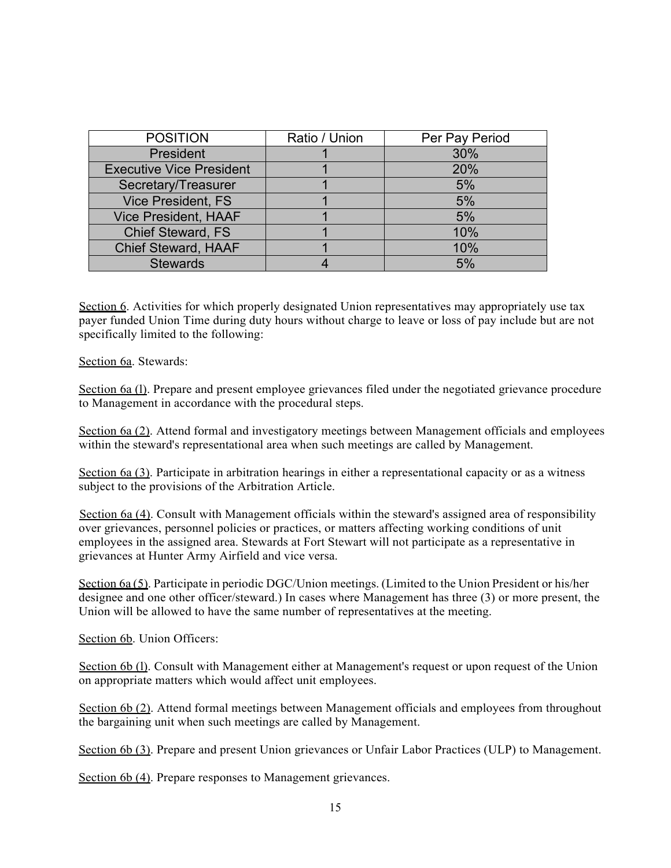| <b>POSITION</b>                 | Ratio / Union | Per Pay Period |
|---------------------------------|---------------|----------------|
| President                       |               | 30%            |
| <b>Executive Vice President</b> |               | 20%            |
| Secretary/Treasurer             |               | 5%             |
| <b>Vice President, FS</b>       |               | 5%             |
| <b>Vice President, HAAF</b>     |               | 5%             |
| <b>Chief Steward, FS</b>        |               | 10%            |
| <b>Chief Steward, HAAF</b>      |               | 10%            |
| <b>Stewards</b>                 |               | 5%             |

Section 6. Activities for which properly designated Union representatives may appropriately use tax payer funded Union Time during duty hours without charge to leave or loss of pay include but are not specifically limited to the following:

Section 6a. Stewards:

Section 6a (1). Prepare and present employee grievances filed under the negotiated grievance procedure to Management in accordance with the procedural steps.

Section 6a (2). Attend formal and investigatory meetings between Management officials and employees within the steward's representational area when such meetings are called by Management.

Section 6a (3). Participate in arbitration hearings in either a representational capacity or as a witness subject to the provisions of the Arbitration Article.

Section 6a (4). Consult with Management officials within the steward's assigned area of responsibility over grievances, personnel policies or practices, or matters affecting working conditions of unit employees in the assigned area. Stewards at Fort Stewart will not participate as a representative in grievances at Hunter Army Airfield and vice versa.

Section 6a (5). Participate in periodic DGC/Union meetings. (Limited to the Union President or his/her designee and one other officer/steward.) In cases where Management has three (3) or more present, the Union will be allowed to have the same number of representatives at the meeting.

Section 6b. Union Officers:

Section 6b (1). Consult with Management either at Management's request or upon request of the Union on appropriate matters which would affect unit employees.

Section 6b (2). Attend formal meetings between Management officials and employees from throughout the bargaining unit when such meetings are called by Management.

Section 6b (3). Prepare and present Union grievances or Unfair Labor Practices (ULP) to Management.

Section 6b (4). Prepare responses to Management grievances.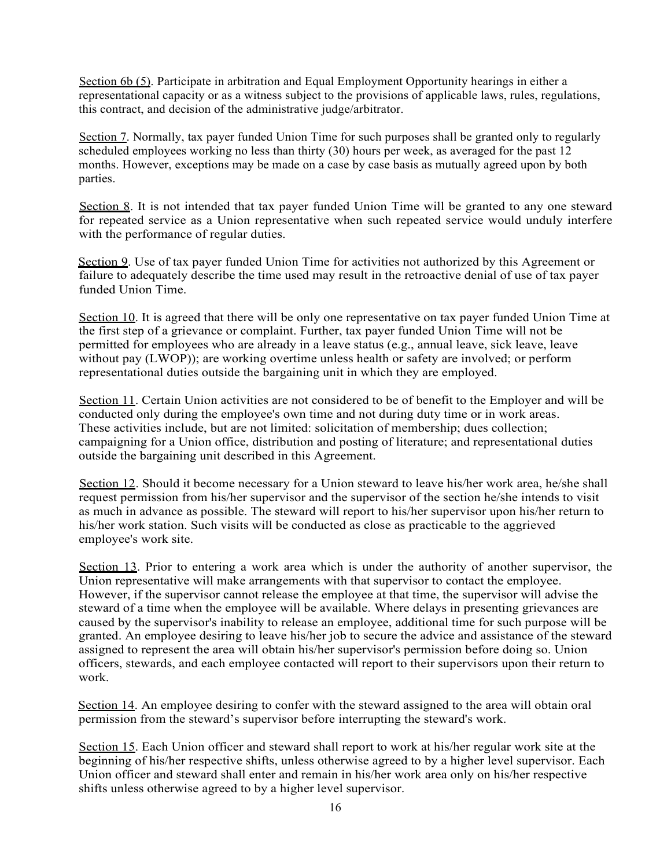Section 6b (5). Participate in arbitration and Equal Employment Opportunity hearings in either a representational capacity or as a witness subject to the provisions of applicable laws, rules, regulations, this contract, and decision of the administrative judge/arbitrator.

Section 7. Normally, tax payer funded Union Time for such purposes shall be granted only to regularly scheduled employees working no less than thirty (30) hours per week, as averaged for the past 12 months. However, exceptions may be made on a case by case basis as mutually agreed upon by both parties.

Section 8. It is not intended that tax payer funded Union Time will be granted to any one steward for repeated service as a Union representative when such repeated service would unduly interfere with the performance of regular duties.

Section 9. Use of tax payer funded Union Time for activities not authorized by this Agreement or failure to adequately describe the time used may result in the retroactive denial of use of tax payer funded Union Time.

Section 10. It is agreed that there will be only one representative on tax payer funded Union Time at the first step of a grievance or complaint. Further, tax payer funded Union Time will not be permitted for employees who are already in a leave status (e.g., annual leave, sick leave, leave without pay (LWOP)); are working overtime unless health or safety are involved; or perform representational duties outside the bargaining unit in which they are employed.

Section 11. Certain Union activities are not considered to be of benefit to the Employer and will be conducted only during the employee's own time and not during duty time or in work areas. These activities include, but are not limited: solicitation of membership; dues collection; campaigning for a Union office, distribution and posting of literature; and representational duties outside the bargaining unit described in this Agreement.

Section 12. Should it become necessary for a Union steward to leave his/her work area, he/she shall request permission from his/her supervisor and the supervisor of the section he/she intends to visit as much in advance as possible. The steward will report to his/her supervisor upon his/her return to his/her work station. Such visits will be conducted as close as practicable to the aggrieved employee's work site.

Section 13. Prior to entering a work area which is under the authority of another supervisor, the Union representative will make arrangements with that supervisor to contact the employee. However, if the supervisor cannot release the employee at that time, the supervisor will advise the steward of a time when the employee will be available. Where delays in presenting grievances are caused by the supervisor's inability to release an employee, additional time for such purpose will be granted. An employee desiring to leave his/her job to secure the advice and assistance of the steward assigned to represent the area will obtain his/her supervisor's permission before doing so. Union officers, stewards, and each employee contacted will report to their supervisors upon their return to work.

Section 14. An employee desiring to confer with the steward assigned to the area will obtain oral permission from the steward's supervisor before interrupting the steward's work.

Section 15. Each Union officer and steward shall report to work at his/her regular work site at the beginning of his/her respective shifts, unless otherwise agreed to by a higher level supervisor. Each Union officer and steward shall enter and remain in his/her work area only on his/her respective shifts unless otherwise agreed to by a higher level supervisor.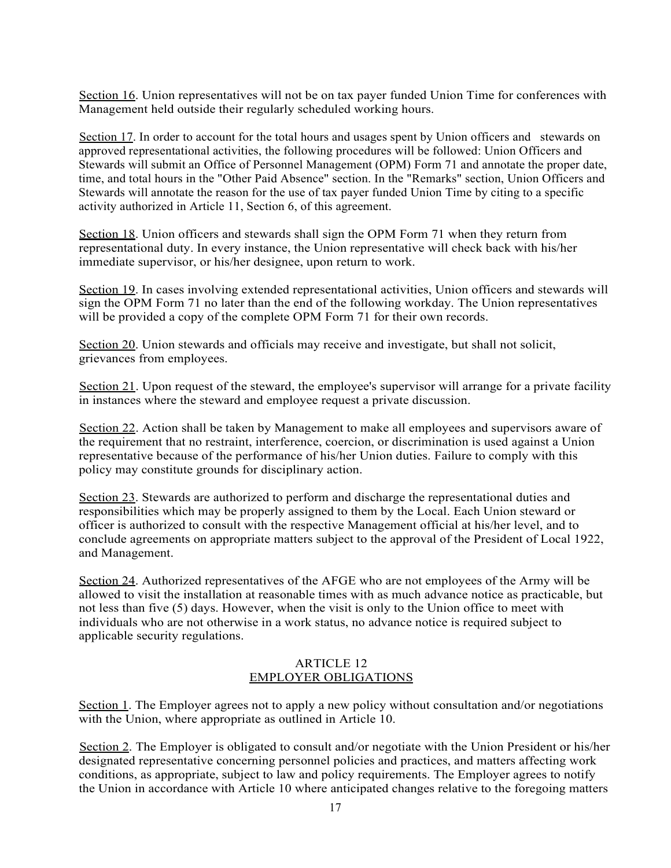Section 16. Union representatives will not be on tax payer funded Union Time for conferences with Management held outside their regularly scheduled working hours.

Section 17. In order to account for the total hours and usages spent by Union officers and stewards on approved representational activities, the following procedures will be followed: Union Officers and Stewards will submit an Office of Personnel Management (OPM) Form 71 and annotate the proper date, time, and total hours in the "Other Paid Absence" section. In the "Remarks" section, Union Officers and Stewards will annotate the reason for the use of tax payer funded Union Time by citing to a specific activity authorized in Article 11, Section 6, of this agreement.

Section 18. Union officers and stewards shall sign the OPM Form 71 when they return from representational duty. In every instance, the Union representative will check back with his/her immediate supervisor, or his/her designee, upon return to work.

Section 19. In cases involving extended representational activities, Union officers and stewards will sign the OPM Form 71 no later than the end of the following workday. The Union representatives will be provided a copy of the complete OPM Form 71 for their own records.

Section 20. Union stewards and officials may receive and investigate, but shall not solicit, grievances from employees.

Section 21. Upon request of the steward, the employee's supervisor will arrange for a private facility in instances where the steward and employee request a private discussion.

Section 22. Action shall be taken by Management to make all employees and supervisors aware of the requirement that no restraint, interference, coercion, or discrimination is used against a Union representative because of the performance of his/her Union duties. Failure to comply with this policy may constitute grounds for disciplinary action.

Section 23. Stewards are authorized to perform and discharge the representational duties and responsibilities which may be properly assigned to them by the Local. Each Union steward or officer is authorized to consult with the respective Management official at his/her level, and to conclude agreements on appropriate matters subject to the approval of the President of Local 1922, and Management.

Section 24. Authorized representatives of the AFGE who are not employees of the Army will be allowed to visit the installation at reasonable times with as much advance notice as practicable, but not less than five (5) days. However, when the visit is only to the Union office to meet with individuals who are not otherwise in a work status, no advance notice is required subject to applicable security regulations.

## ARTICLE 12 EMPLOYER OBLIGATIONS

Section 1. The Employer agrees not to apply a new policy without consultation and/or negotiations with the Union, where appropriate as outlined in Article 10.

Section 2. The Employer is obligated to consult and/or negotiate with the Union President or his/her designated representative concerning personnel policies and practices, and matters affecting work conditions, as appropriate, subject to law and policy requirements. The Employer agrees to notify the Union in accordance with Article 10 where anticipated changes relative to the foregoing matters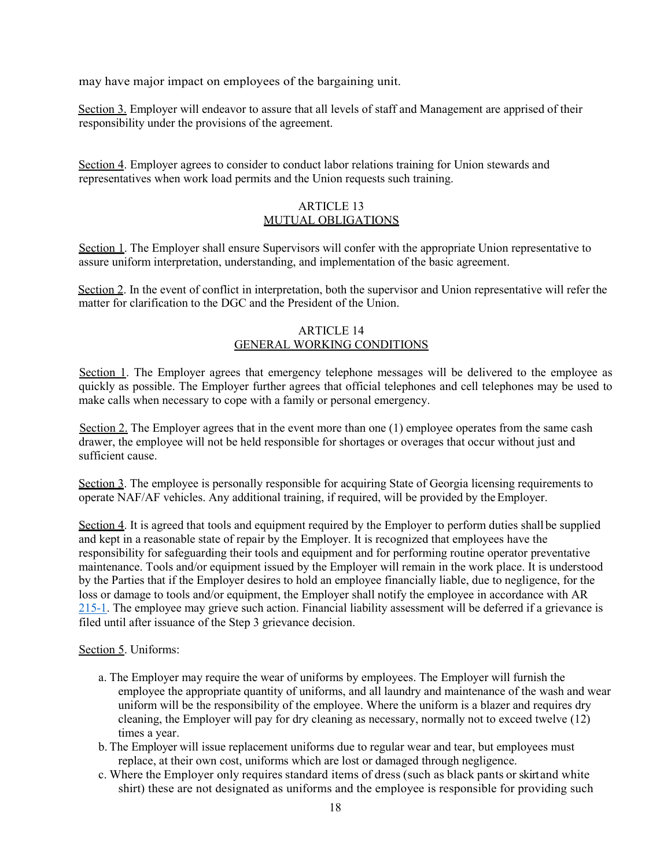may have major impact on employees of the bargaining unit.

Section 3. Employer will endeavor to assure that all levels of staff and Management are apprised of their responsibility under the provisions of the agreement.

Section 4. Employer agrees to consider to conduct labor relations training for Union stewards and representatives when work load permits and the Union requests such training.

#### ARTICLE 13 MUTUAL OBLIGATIONS

Section 1. The Employer shall ensure Supervisors will confer with the appropriate Union representative to assure uniform interpretation, understanding, and implementation of the basic agreement.

Section 2. In the event of conflict in interpretation, both the supervisor and Union representative will refer the matter for clarification to the DGC and the President of the Union.

#### ARTICLE 14 GENERAL WORKING CONDITIONS

Section 1. The Employer agrees that emergency telephone messages will be delivered to the employee as quickly as possible. The Employer further agrees that official telephones and cell telephones may be used to make calls when necessary to cope with a family or personal emergency.

Section 2. The Employer agrees that in the event more than one (1) employee operates from the same cash drawer, the employee will not be held responsible for shortages or overages that occur without just and sufficient cause.

Section 3. The employee is personally responsible for acquiring State of Georgia licensing requirements to operate NAF/AF vehicles. Any additional training, if required, will be provided by theEmployer.

Section 4. It is agreed that tools and equipment required by the Employer to perform duties shall be supplied and kept in a reasonable state of repair by the Employer. It is recognized that employees have the responsibility for safeguarding their tools and equipment and for performing routine operator preventative maintenance. Tools and/or equipment issued by the Employer will remain in the work place. It is understood by the Parties that if the Employer desires to hold an employee financially liable, due to negligence, for the loss or damage to tools and/or equipment, the Employer shall notify the employee in accordance with AR 215-1. The employee may grieve such action. Financial liability assessment will be deferred if a grievance is filed until after issuance of the Step 3 grievance decision.

#### Section 5. Uniforms:

- a. The Employer may require the wear of uniforms by employees. The Employer will furnish the employee the appropriate quantity of uniforms, and all laundry and maintenance of the wash and wear uniform will be the responsibility of the employee. Where the uniform is a blazer and requires dry cleaning, the Employer will pay for dry cleaning as necessary, normally not to exceed twelve (12) times a year.
- b. The Employer will issue replacement uniforms due to regular wear and tear, but employees must replace, at their own cost, uniforms which are lost or damaged through negligence.
- c. Where the Employer only requires standard items of dress (such as black pants or skirtand white shirt) these are not designated as uniforms and the employee is responsible for providing such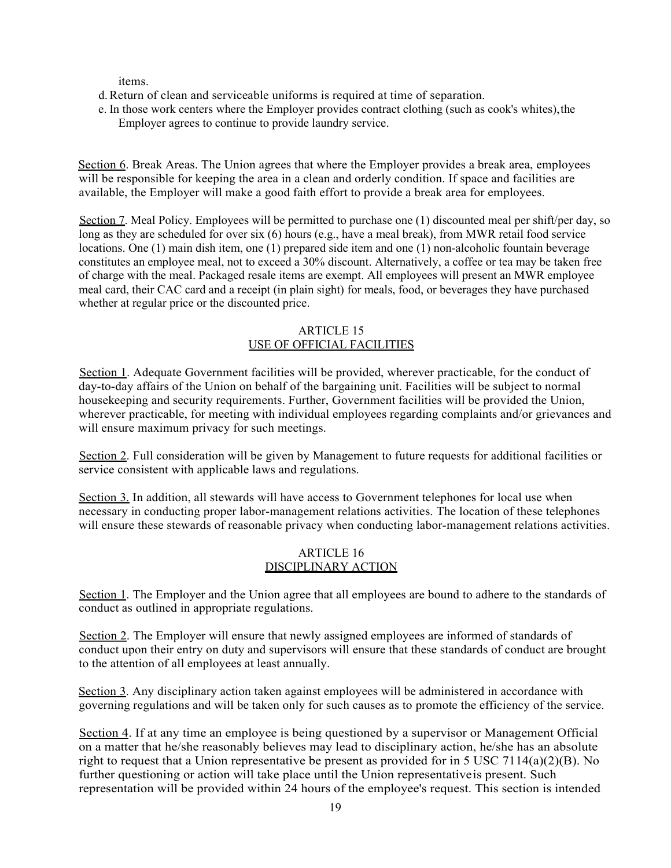items.

- d.Return of clean and serviceable uniforms is required at time of separation.
- e. In those work centers where the Employer provides contract clothing (such as cook's whites),the Employer agrees to continue to provide laundry service.

Section 6. Break Areas. The Union agrees that where the Employer provides a break area, employees will be responsible for keeping the area in a clean and orderly condition. If space and facilities are available, the Employer will make a good faith effort to provide a break area for employees.

Section 7. Meal Policy. Employees will be permitted to purchase one (1) discounted meal per shift/per day, so long as they are scheduled for over six (6) hours (e.g., have a meal break), from MWR retail food service locations. One (1) main dish item, one (1) prepared side item and one (1) non-alcoholic fountain beverage constitutes an employee meal, not to exceed a 30% discount. Alternatively, a coffee or tea may be taken free of charge with the meal. Packaged resale items are exempt. All employees will present an MWR employee meal card, their CAC card and a receipt (in plain sight) for meals, food, or beverages they have purchased whether at regular price or the discounted price.

#### ARTICLE 15 USE OF OFFICIAL FACILITIES

Section 1. Adequate Government facilities will be provided, wherever practicable, for the conduct of day-to-day affairs of the Union on behalf of the bargaining unit. Facilities will be subject to normal housekeeping and security requirements. Further, Government facilities will be provided the Union, wherever practicable, for meeting with individual employees regarding complaints and/or grievances and will ensure maximum privacy for such meetings.

Section 2. Full consideration will be given by Management to future requests for additional facilities or service consistent with applicable laws and regulations.

Section 3. In addition, all stewards will have access to Government telephones for local use when necessary in conducting proper labor-management relations activities. The location of these telephones will ensure these stewards of reasonable privacy when conducting labor-management relations activities.

## ARTICLE 16 DISCIPLINARY ACTION

Section 1. The Employer and the Union agree that all employees are bound to adhere to the standards of conduct as outlined in appropriate regulations.

Section 2. The Employer will ensure that newly assigned employees are informed of standards of conduct upon their entry on duty and supervisors will ensure that these standards of conduct are brought to the attention of all employees at least annually.

Section 3. Any disciplinary action taken against employees will be administered in accordance with governing regulations and will be taken only for such causes as to promote the efficiency of the service.

Section 4. If at any time an employee is being questioned by a supervisor or Management Official on a matter that he/she reasonably believes may lead to disciplinary action, he/she has an absolute right to request that a Union representative be present as provided for in 5 USC 7114(a)(2)(B). No further questioning or action will take place until the Union representativeis present. Such representation will be provided within 24 hours of the employee's request. This section is intended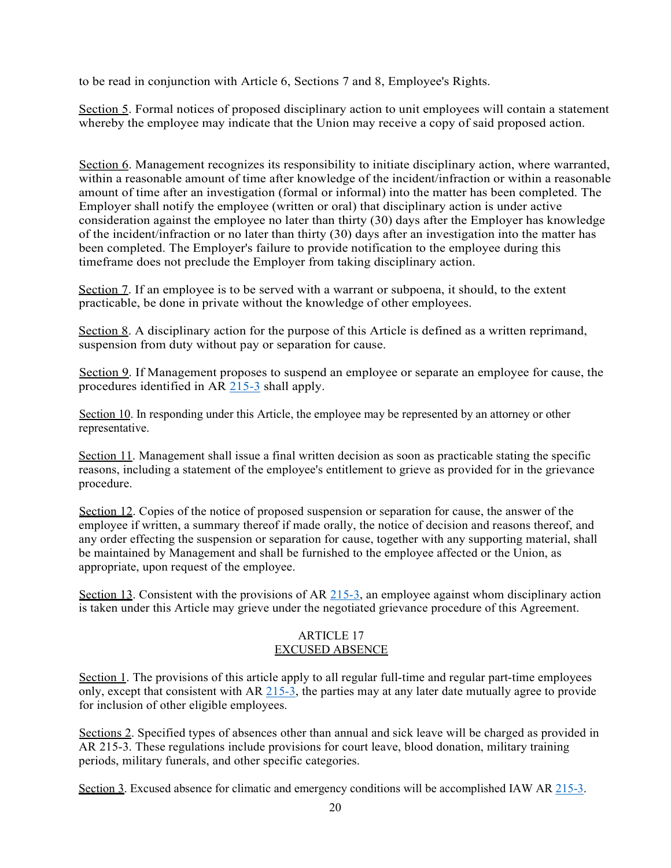to be read in conjunction with Article 6, Sections 7 and 8, Employee's Rights.

Section 5. Formal notices of proposed disciplinary action to unit employees will contain a statement whereby the employee may indicate that the Union may receive a copy of said proposed action.

Section 6. Management recognizes its responsibility to initiate disciplinary action, where warranted, within a reasonable amount of time after knowledge of the incident/infraction or within a reasonable amount of time after an investigation (formal or informal) into the matter has been completed. The Employer shall notify the employee (written or oral) that disciplinary action is under active consideration against the employee no later than thirty (30) days after the Employer has knowledge of the incident/infraction or no later than thirty (30) days after an investigation into the matter has been completed. The Employer's failure to provide notification to the employee during this timeframe does not preclude the Employer from taking disciplinary action.

Section 7. If an employee is to be served with a warrant or subpoena, it should, to the extent practicable, be done in private without the knowledge of other employees.

Section 8. A disciplinary action for the purpose of this Article is defined as a written reprimand, suspension from duty without pay or separation for cause.

Section 9. If Management proposes to suspend an employee or separate an employee for cause, the procedures identified in AR 215-3 shall apply.

Section 10. In responding under this Article, the employee may be represented by an attorney or other representative.

Section 11. Management shall issue a final written decision as soon as practicable stating the specific reasons, including a statement of the employee's entitlement to grieve as provided for in the grievance procedure.

Section 12. Copies of the notice of proposed suspension or separation for cause, the answer of the employee if written, a summary thereof if made orally, the notice of decision and reasons thereof, and any order effecting the suspension or separation for cause, together with any supporting material, shall be maintained by Management and shall be furnished to the employee affected or the Union, as appropriate, upon request of the employee.

Section 13. Consistent with the provisions of AR 215-3, an employee against whom disciplinary action is taken under this Article may grieve under the negotiated grievance procedure of this Agreement.

## ARTICLE 17 EXCUSED ABSENCE

Section 1. The provisions of this article apply to all regular full-time and regular part-time employees only, except that consistent with AR 215-3, the parties may at any later date mutually agree to provide for inclusion of other eligible employees.

Sections 2. Specified types of absences other than annual and sick leave will be charged as provided in AR 215-3. These regulations include provisions for court leave, blood donation, military training periods, military funerals, and other specific categories.

Section 3. Excused absence for climatic and emergency conditions will be accomplished IAW AR 215-3.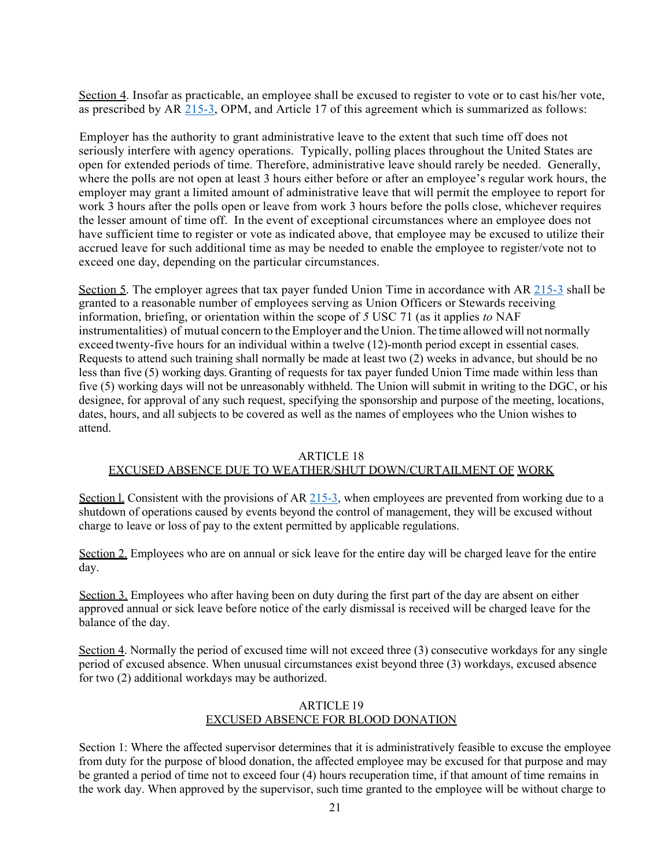Section 4. Insofar as practicable, an employee shall be excused to register to vote or to cast his/her vote, as prescribed by AR 215-3, OPM, and Article 17 of this agreement which is summarized as follows:

Employer has the authority to grant administrative leave to the extent that such time off does not seriously interfere with agency operations. Typically, polling places throughout the United States are open for extended periods of time. Therefore, administrative leave should rarely be needed. Generally, where the polls are not open at least 3 hours either before or after an employee's regular work hours, the employer may grant a limited amount of administrative leave that will permit the employee to report for work 3 hours after the polls open or leave from work 3 hours before the polls close, whichever requires the lesser amount of time off. In the event of exceptional circumstances where an employee does not have sufficient time to register or vote as indicated above, that employee may be excused to utilize their accrued leave for such additional time as may be needed to enable the employee to register/vote not to exceed one day, depending on the particular circumstances.

Section 5. The employer agrees that tax payer funded Union Time in accordance with AR 215-3 shall be granted to a reasonable number of employees serving as Union Officers or Stewards receiving information, briefing, or orientation within the scope of *5* USC 71 (as it applies *to* NAF instrumentalities) of mutual concern to the Employer and the Union. The time allowed will not normally exceed twenty-five hours for an individual within a twelve (12)-month period except in essential cases. Requests to attend such training shall normally be made at least two (2) weeks in advance, but should be no less than five (5) working days. Granting of requests for tax payer funded Union Time made within less than five (5) working days will not be unreasonably withheld. The Union will submit in writing to the DGC, or his designee, for approval of any such request, specifying the sponsorship and purpose of the meeting, locations, dates, hours, and all subjects to be covered as well as the names of employees who the Union wishes to attend.

#### ARTICLE 18

#### EXCUSED ABSENCE DUE TO WEATHER/SHUT DOWN/CURTAILMENT OF WORK

Section 1. Consistent with the provisions of AR 215-3, when employees are prevented from working due to a shutdown of operations caused by events beyond the control of management, they will be excused without charge to leave or loss of pay to the extent permitted by applicable regulations.

Section 2. Employees who are on annual or sick leave for the entire day will be charged leave for the entire day.

Section 3. Employees who after having been on duty during the first part of the day are absent on either approved annual or sick leave before notice of the early dismissal is received will be charged leave for the balance of the day.

Section 4. Normally the period of excused time will not exceed three (3) consecutive workdays for any single period of excused absence. When unusual circumstances exist beyond three (3) workdays, excused absence for two (2) additional workdays may be authorized.

#### ARTICLE 19 EXCUSED ABSENCE FOR BLOOD DONATION

Section 1: Where the affected supervisor determines that it is administratively feasible to excuse the employee from duty for the purpose of blood donation, the affected employee may be excused for that purpose and may be granted a period of time not to exceed four (4) hours recuperation time, if that amount of time remains in the work day. When approved by the supervisor, such time granted to the employee will be without charge to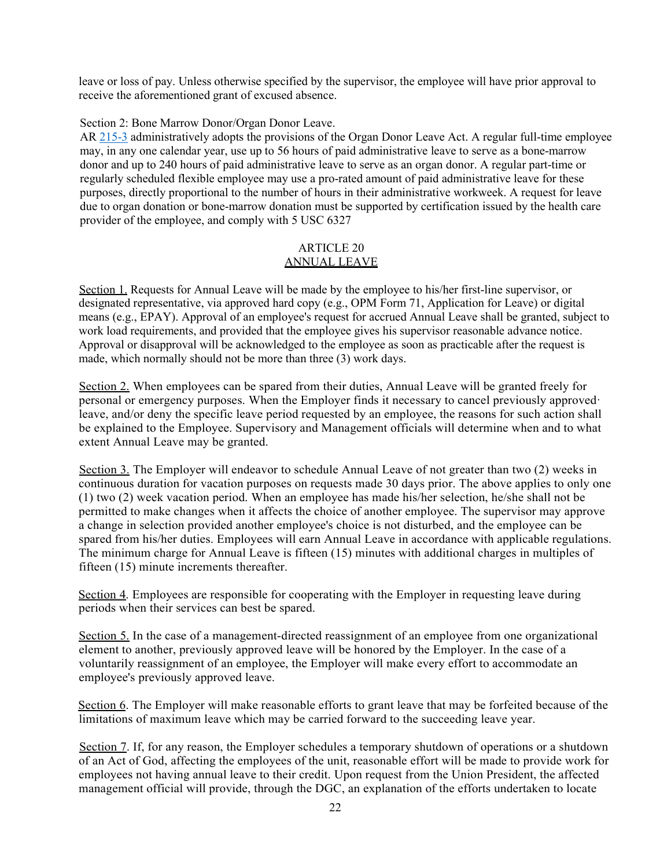leave or loss of pay. Unless otherwise specified by the supervisor, the employee will have prior approval to receive the aforementioned grant of excused absence.

Section 2: Bone Marrow Donor/Organ Donor Leave.

AR 215-3 administratively adopts the provisions of the Organ Donor Leave Act. A regular full-time employee may, in any one calendar year, use up to 56 hours of paid administrative leave to serve as a bone-marrow donor and up to 240 hours of paid administrative leave to serve as an organ donor. A regular part-time or regularly scheduled flexible employee may use a pro-rated amount of paid administrative leave for these purposes, directly proportional to the number of hours in their administrative workweek. A request for leave due to organ donation or bone-marrow donation must be supported by certification issued by the health care provider of the employee, and comply with 5 USC 6327

## ARTICLE 20 ANNUAL LEAVE

Section 1. Requests for Annual Leave will be made by the employee to his/her first-line supervisor, or designated representative, via approved hard copy (e.g., OPM Form 71, Application for Leave) or digital means (e.g., EPAY). Approval of an employee's request for accrued Annual Leave shall be granted, subject to work load requirements, and provided that the employee gives his supervisor reasonable advance notice. Approval or disapproval will be acknowledged to the employee as soon as practicable after the request is made, which normally should not be more than three (3) work days.

Section 2. When employees can be spared from their duties, Annual Leave will be granted freely for personal or emergency purposes. When the Employer finds it necessary to cancel previously approved· leave, and/or deny the specific leave period requested by an employee, the reasons for such action shall be explained to the Employee. Supervisory and Management officials will determine when and to what extent Annual Leave may be granted.

Section 3. The Employer will endeavor to schedule Annual Leave of not greater than two (2) weeks in continuous duration for vacation purposes on requests made 30 days prior. The above applies to only one (1) two (2) week vacation period. When an employee has made his/her selection, he/she shall not be permitted to make changes when it affects the choice of another employee. The supervisor may approve a change in selection provided another employee's choice is not disturbed, and the employee can be spared from his/her duties. Employees will earn Annual Leave in accordance with applicable regulations. The minimum charge for Annual Leave is fifteen (15) minutes with additional charges in multiples of fifteen (15) minute increments thereafter.

Section 4. Employees are responsible for cooperating with the Employer in requesting leave during periods when their services can best be spared.

Section 5. In the case of a management-directed reassignment of an employee from one organizational element to another, previously approved leave will be honored by the Employer. In the case of a voluntarily reassignment of an employee, the Employer will make every effort to accommodate an employee's previously approved leave.

Section 6. The Employer will make reasonable efforts to grant leave that may be forfeited because of the limitations of maximum leave which may be carried forward to the succeeding leave year.

Section 7. If, for any reason, the Employer schedules a temporary shutdown of operations or a shutdown of an Act of God, affecting the employees of the unit, reasonable effort will be made to provide work for employees not having annual leave to their credit. Upon request from the Union President, the affected management official will provide, through the DGC, an explanation of the efforts undertaken to locate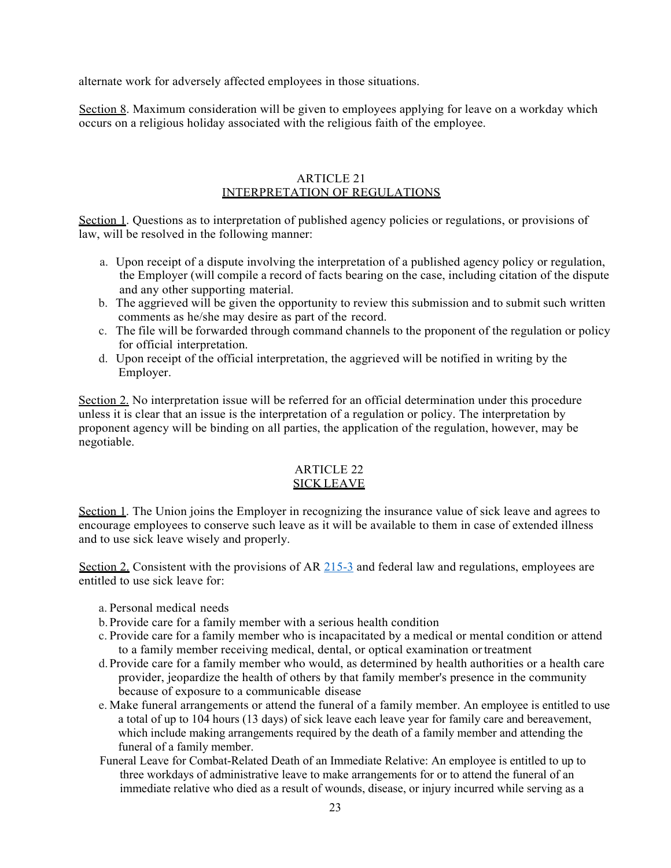alternate work for adversely affected employees in those situations.

Section 8. Maximum consideration will be given to employees applying for leave on a workday which occurs on a religious holiday associated with the religious faith of the employee.

#### ARTICLE 21 INTERPRETATION OF REGULATIONS

Section 1. Questions as to interpretation of published agency policies or regulations, or provisions of law, will be resolved in the following manner:

- a. Upon receipt of a dispute involving the interpretation of a published agency policy or regulation, the Employer (will compile a record of facts bearing on the case, including citation of the dispute and any other supporting material.
- b. The aggrieved will be given the opportunity to review this submission and to submit such written comments as he/she may desire as part of the record.
- c. The file will be forwarded through command channels to the proponent of the regulation or policy for official interpretation.
- d. Upon receipt of the official interpretation, the aggrieved will be notified in writing by the Employer.

Section 2. No interpretation issue will be referred for an official determination under this procedure unless it is clear that an issue is the interpretation of a regulation or policy. The interpretation by proponent agency will be binding on all parties, the application of the regulation, however, may be negotiable.

## ARTICLE 22 SICK LEAVE

Section 1. The Union joins the Employer in recognizing the insurance value of sick leave and agrees to encourage employees to conserve such leave as it will be available to them in case of extended illness and to use sick leave wisely and properly.

Section 2. Consistent with the provisions of AR 215-3 and federal law and regulations, employees are entitled to use sick leave for:

- a. Personal medical needs
- b.Provide care for a family member with a serious health condition
- c. Provide care for a family member who is incapacitated by a medical or mental condition or attend to a family member receiving medical, dental, or optical examination ortreatment
- d.Provide care for a family member who would, as determined by health authorities or a health care provider, jeopardize the health of others by that family member's presence in the community because of exposure to a communicable disease
- e. Make funeral arrangements or attend the funeral of a family member. An employee is entitled to use a total of up to 104 hours (13 days) of sick leave each leave year for family care and bereavement, which include making arrangements required by the death of a family member and attending the funeral of a family member.
- Funeral Leave for Combat-Related Death of an Immediate Relative: An employee is entitled to up to three workdays of administrative leave to make arrangements for or to attend the funeral of an immediate relative who died as a result of wounds, disease, or injury incurred while serving as a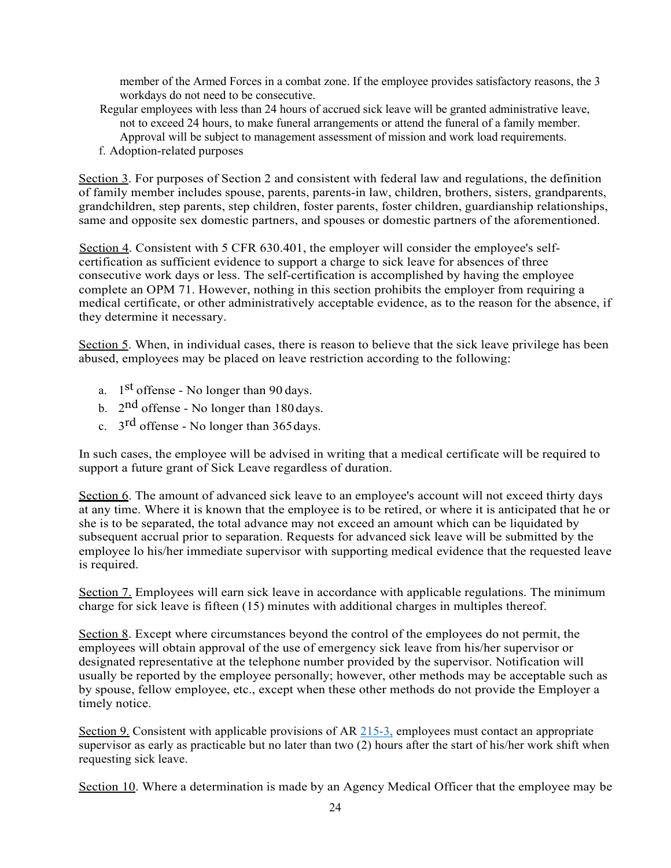member of the Armed Forces in a combat zone. If the employee provides satisfactory reasons, the 3 workdays do not need to be consecutive.

- Regular employees with less than 24 hours of accrued sick leave will be granted administrative leave, not to exceed 24 hours, to make funeral arrangements or attend the funeral of a family member. Approval will be subject to management assessment of mission and work load requirements.
- f. Adoption-related purposes

Section 3. For purposes of Section 2 and consistent with federal law and regulations, the definition of family member includes spouse, parents, parents-in law, children, brothers, sisters, grandparents, grandchildren, step parents, step children, foster parents, foster children, guardianship relationships, same and opposite sex domestic partners, and spouses or domestic partners of the aforementioned.

Section 4. Consistent with 5 CFR 630.401, the employer will consider the employee's selfcertification as sufficient evidence to support a charge to sick leave for absences of three consecutive work days or less. The self-certification is accomplished by having the employee complete an OPM 71. However, nothing in this section prohibits the employer from requiring a medical certificate, or other administratively acceptable evidence, as to the reason for the absence, if they determine it necessary.

Section 5. When, in individual cases, there is reason to believe that the sick leave privilege has been abused, employees may be placed on leave restriction according to the following:

- a.  $1<sup>st</sup>$  offense No longer than 90 days.
- b.  $2<sup>nd</sup>$  offense No longer than 180 days.
- c.  $3<sup>rd</sup>$  offense No longer than 365 days.

In such cases, the employee will be advised in writing that a medical certificate will be required to support a future grant of Sick Leave regardless of duration.

Section 6. The amount of advanced sick leave to an employee's account will not exceed thirty days at any time. Where it is known that the employee is to be retired, or where it is anticipated that he or she is to be separated, the total advance may not exceed an amount which can be liquidated by subsequent accrual prior to separation. Requests for advanced sick leave will be submitted by the employee lo his/her immediate supervisor with supporting medical evidence that the requested leave is required.

Section 7. Employees will earn sick leave in accordance with applicable regulations. The minimum charge for sick leave is fifteen (15) minutes with additional charges in multiples thereof.

Section 8. Except where circumstances beyond the control of the employees do not permit, the employees will obtain approval of the use of emergency sick leave from his/her supervisor or designated representative at the telephone number provided by the supervisor. Notification will usually be reported by the employee personally; however, other methods may be acceptable such as by spouse, fellow employee, etc., except when these other methods do not provide the Employer a timely notice.

Section 9. Consistent with applicable provisions of AR 215-3, employees must contact an appropriate supervisor as early as practicable but no later than two (2) hours after the start of his/her work shift when requesting sick leave.

Section 10. Where a determination is made by an Agency Medical Officer that the employee may be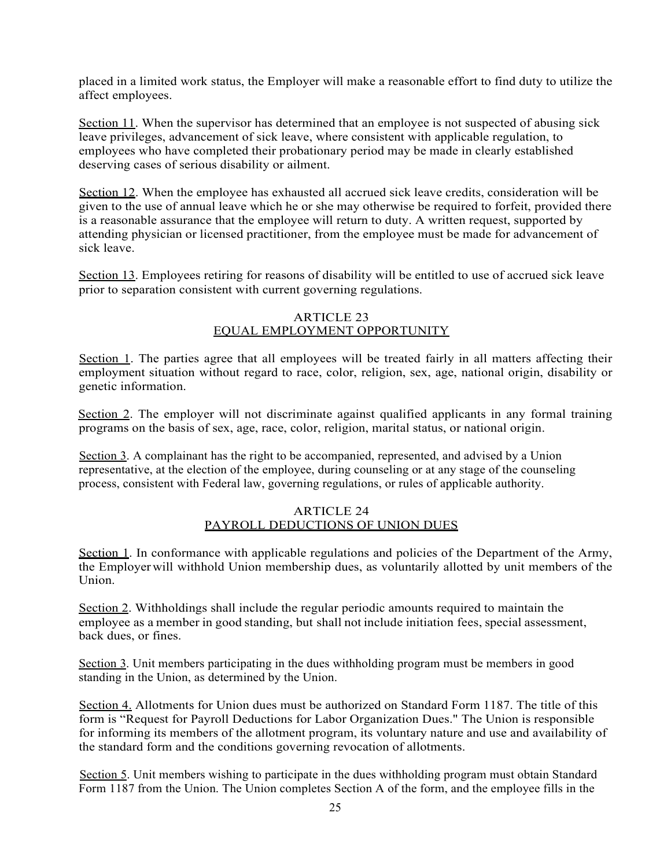placed in a limited work status, the Employer will make a reasonable effort to find duty to utilize the affect employees.

Section 11. When the supervisor has determined that an employee is not suspected of abusing sick leave privileges, advancement of sick leave, where consistent with applicable regulation, to employees who have completed their probationary period may be made in clearly established deserving cases of serious disability or ailment.

Section 12. When the employee has exhausted all accrued sick leave credits, consideration will be given to the use of annual leave which he or she may otherwise be required to forfeit, provided there is a reasonable assurance that the employee will return to duty. A written request, supported by attending physician or licensed practitioner, from the employee must be made for advancement of sick leave.

Section 13. Employees retiring for reasons of disability will be entitled to use of accrued sick leave prior to separation consistent with current governing regulations.

#### ARTICLE 23 EQUAL EMPLOYMENT OPPORTUNITY

Section 1. The parties agree that all employees will be treated fairly in all matters affecting their employment situation without regard to race, color, religion, sex, age, national origin, disability or genetic information.

Section 2. The employer will not discriminate against qualified applicants in any formal training programs on the basis of sex, age, race, color, religion, marital status, or national origin.

Section 3. A complainant has the right to be accompanied, represented, and advised by a Union representative, at the election of the employee, during counseling or at any stage of the counseling process, consistent with Federal law, governing regulations, or rules of applicable authority.

## ARTICLE 24 PAYROLL DEDUCTIONS OF UNION DUES

Section 1. In conformance with applicable regulations and policies of the Department of the Army, the Employerwill withhold Union membership dues, as voluntarily allotted by unit members of the Union.

Section 2. Withholdings shall include the regular periodic amounts required to maintain the employee as a member in good standing, but shall not include initiation fees, special assessment, back dues, or fines.

Section 3. Unit members participating in the dues withholding program must be members in good standing in the Union, as determined by the Union.

Section 4. Allotments for Union dues must be authorized on Standard Form 1187. The title of this form is "Request for Payroll Deductions for Labor Organization Dues." The Union is responsible for informing its members of the allotment program, its voluntary nature and use and availability of the standard form and the conditions governing revocation of allotments.

Section 5. Unit members wishing to participate in the dues withholding program must obtain Standard Form 1187 from the Union. The Union completes Section A of the form, and the employee fills in the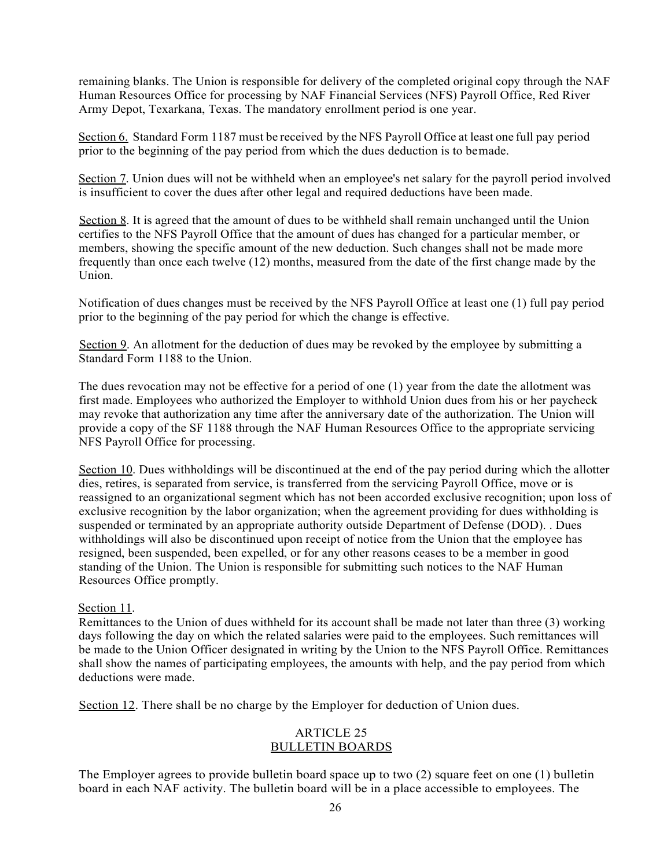remaining blanks. The Union is responsible for delivery of the completed original copy through the NAF Human Resources Office for processing by NAF Financial Services (NFS) Payroll Office, Red River Army Depot, Texarkana, Texas. The mandatory enrollment period is one year.

Section 6. Standard Form 1187 must be received by the NFS Payroll Office at least one full pay period prior to the beginning of the pay period from which the dues deduction is to bemade.

Section 7. Union dues will not be withheld when an employee's net salary for the payroll period involved is insufficient to cover the dues after other legal and required deductions have been made.

Section 8. It is agreed that the amount of dues to be withheld shall remain unchanged until the Union certifies to the NFS Payroll Office that the amount of dues has changed for a particular member, or members, showing the specific amount of the new deduction. Such changes shall not be made more frequently than once each twelve (12) months, measured from the date of the first change made by the Union.

Notification of dues changes must be received by the NFS Payroll Office at least one (1) full pay period prior to the beginning of the pay period for which the change is effective.

Section 9. An allotment for the deduction of dues may be revoked by the employee by submitting a Standard Form 1188 to the Union.

The dues revocation may not be effective for a period of one (1) year from the date the allotment was first made. Employees who authorized the Employer to withhold Union dues from his or her paycheck may revoke that authorization any time after the anniversary date of the authorization. The Union will provide a copy of the SF 1188 through the NAF Human Resources Office to the appropriate servicing NFS Payroll Office for processing.

Section 10. Dues withholdings will be discontinued at the end of the pay period during which the allotter dies, retires, is separated from service, is transferred from the servicing Payroll Office, move or is reassigned to an organizational segment which has not been accorded exclusive recognition; upon loss of exclusive recognition by the labor organization; when the agreement providing for dues withholding is suspended or terminated by an appropriate authority outside Department of Defense (DOD). . Dues withholdings will also be discontinued upon receipt of notice from the Union that the employee has resigned, been suspended, been expelled, or for any other reasons ceases to be a member in good standing of the Union. The Union is responsible for submitting such notices to the NAF Human Resources Office promptly.

Section 11.

Remittances to the Union of dues withheld for its account shall be made not later than three (3) working days following the day on which the related salaries were paid to the employees. Such remittances will be made to the Union Officer designated in writing by the Union to the NFS Payroll Office. Remittances shall show the names of participating employees, the amounts with help, and the pay period from which deductions were made.

Section 12. There shall be no charge by the Employer for deduction of Union dues.

## ARTICLE 25 BULLETIN BOARDS

The Employer agrees to provide bulletin board space up to two (2) square feet on one (1) bulletin board in each NAF activity. The bulletin board will be in a place accessible to employees. The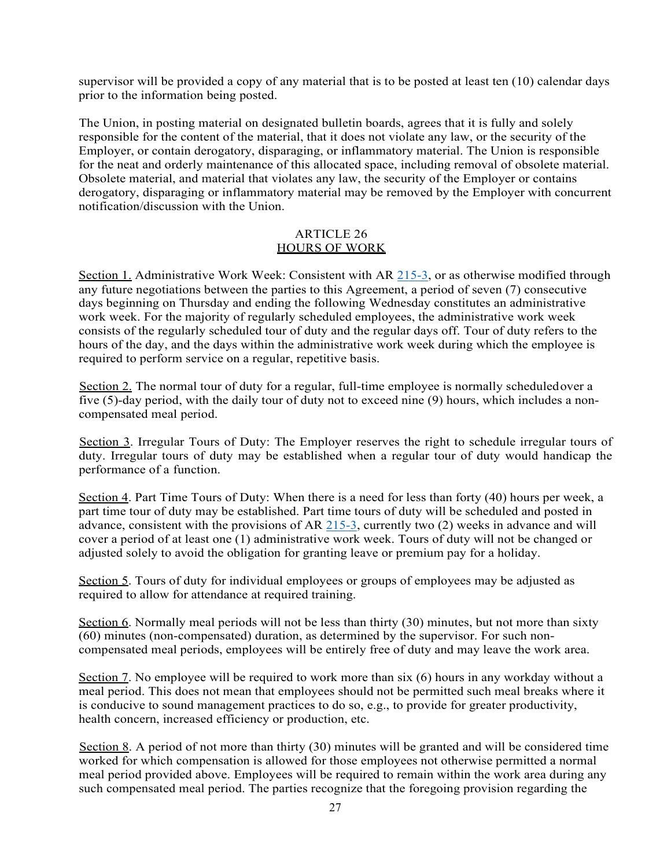supervisor will be provided a copy of any material that is to be posted at least ten (10) calendar days prior to the information being posted.

The Union, in posting material on designated bulletin boards, agrees that it is fully and solely responsible for the content of the material, that it does not violate any law, or the security of the Employer, or contain derogatory, disparaging, or inflammatory material. The Union is responsible for the neat and orderly maintenance of this allocated space, including removal of obsolete material. Obsolete material, and material that violates any law, the security of the Employer or contains derogatory, disparaging or inflammatory material may be removed by the Employer with concurrent notification/discussion with the Union.

#### ARTICLE 26 HOURS OF WORK

Section 1. Administrative Work Week: Consistent with AR 215-3, or as otherwise modified through any future negotiations between the parties to this Agreement, a period of seven (7) consecutive days beginning on Thursday and ending the following Wednesday constitutes an administrative work week. For the majority of regularly scheduled employees, the administrative work week consists of the regularly scheduled tour of duty and the regular days off. Tour of duty refers to the hours of the day, and the days within the administrative work week during which the employee is required to perform service on a regular, repetitive basis.

Section 2. The normal tour of duty for a regular, full-time employee is normally scheduledover a five (5)-day period, with the daily tour of duty not to exceed nine (9) hours, which includes a noncompensated meal period.

Section 3. Irregular Tours of Duty: The Employer reserves the right to schedule irregular tours of duty. Irregular tours of duty may be established when a regular tour of duty would handicap the performance of a function.

Section 4. Part Time Tours of Duty: When there is a need for less than forty (40) hours per week, a part time tour of duty may be established. Part time tours of duty will be scheduled and posted in advance, consistent with the provisions of AR 215-3, currently two (2) weeks in advance and will cover a period of at least one (1) administrative work week. Tours of duty will not be changed or adjusted solely to avoid the obligation for granting leave or premium pay for a holiday.

Section 5. Tours of duty for individual employees or groups of employees may be adjusted as required to allow for attendance at required training.

Section 6. Normally meal periods will not be less than thirty (30) minutes, but not more than sixty (60) minutes (non-compensated) duration, as determined by the supervisor. For such noncompensated meal periods, employees will be entirely free of duty and may leave the work area.

Section 7. No employee will be required to work more than six (6) hours in any workday without a meal period. This does not mean that employees should not be permitted such meal breaks where it is conducive to sound management practices to do so, e.g., to provide for greater productivity, health concern, increased efficiency or production, etc.

Section 8. A period of not more than thirty (30) minutes will be granted and will be considered time worked for which compensation is allowed for those employees not otherwise permitted a normal meal period provided above. Employees will be required to remain within the work area during any such compensated meal period. The parties recognize that the foregoing provision regarding the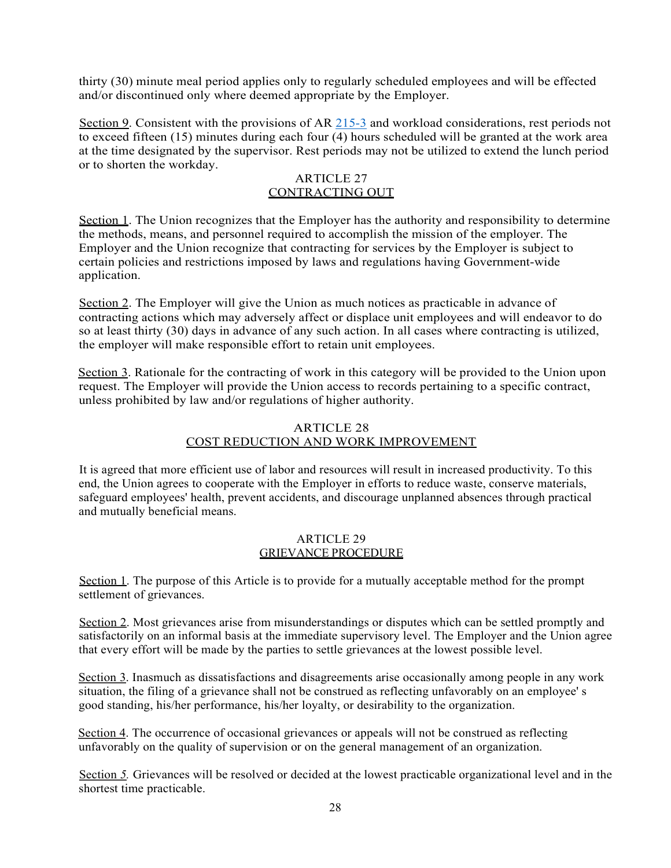thirty (30) minute meal period applies only to regularly scheduled employees and will be effected and/or discontinued only where deemed appropriate by the Employer.

Section 9. Consistent with the provisions of AR 215-3 and workload considerations, rest periods not to exceed fifteen (15) minutes during each four (4) hours scheduled will be granted at the work area at the time designated by the supervisor. Rest periods may not be utilized to extend the lunch period or to shorten the workday.

#### ARTICLE 27 CONTRACTING OUT

Section 1. The Union recognizes that the Employer has the authority and responsibility to determine the methods, means, and personnel required to accomplish the mission of the employer. The Employer and the Union recognize that contracting for services by the Employer is subject to certain policies and restrictions imposed by laws and regulations having Government-wide application.

Section 2. The Employer will give the Union as much notices as practicable in advance of contracting actions which may adversely affect or displace unit employees and will endeavor to do so at least thirty (30) days in advance of any such action. In all cases where contracting is utilized, the employer will make responsible effort to retain unit employees.

Section 3. Rationale for the contracting of work in this category will be provided to the Union upon request. The Employer will provide the Union access to records pertaining to a specific contract, unless prohibited by law and/or regulations of higher authority.

## ARTICLE 28 COST REDUCTION AND WORK IMPROVEMENT

It is agreed that more efficient use of labor and resources will result in increased productivity. To this end, the Union agrees to cooperate with the Employer in efforts to reduce waste, conserve materials, safeguard employees' health, prevent accidents, and discourage unplanned absences through practical and mutually beneficial means.

#### ARTICLE 29 GRIEVANCE PROCEDURE

Section 1. The purpose of this Article is to provide for a mutually acceptable method for the prompt settlement of grievances.

Section 2. Most grievances arise from misunderstandings or disputes which can be settled promptly and satisfactorily on an informal basis at the immediate supervisory level. The Employer and the Union agree that every effort will be made by the parties to settle grievances at the lowest possible level.

Section 3. Inasmuch as dissatisfactions and disagreements arise occasionally among people in any work situation, the filing of a grievance shall not be construed as reflecting unfavorably on an employee' s good standing, his/her performance, his/her loyalty, or desirability to the organization.

Section 4. The occurrence of occasional grievances or appeals will not be construed as reflecting unfavorably on the quality of supervision or on the general management of an organization.

Section *5.* Grievances will be resolved or decided at the lowest practicable organizational level and in the shortest time practicable.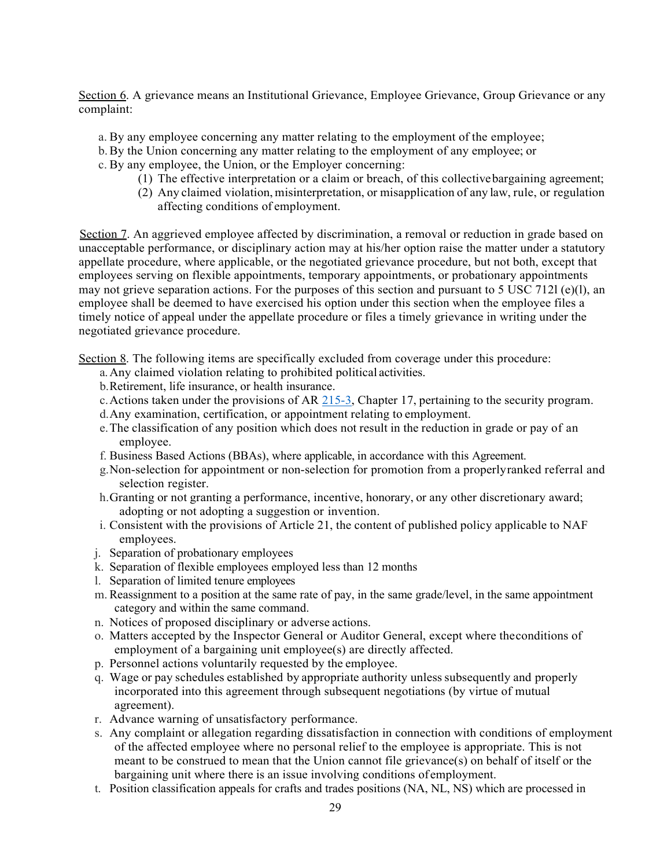Section 6. A grievance means an Institutional Grievance, Employee Grievance, Group Grievance or any complaint:

- a. By any employee concerning any matter relating to the employment of the employee;
- b.By the Union concerning any matter relating to the employment of any employee; or
- c. By any employee, the Union, or the Employer concerning:
	- (1) The effective interpretation or a claim or breach, of this collectivebargaining agreement;
	- (2) Any claimed violation, misinterpretation, or misapplication of any law, rule, or regulation affecting conditions of employment.

Section 7. An aggrieved employee affected by discrimination, a removal or reduction in grade based on unacceptable performance, or disciplinary action may at his/her option raise the matter under a statutory appellate procedure, where applicable, or the negotiated grievance procedure, but not both, except that employees serving on flexible appointments, temporary appointments, or probationary appointments may not grieve separation actions. For the purposes of this section and pursuant to 5 USC 712l (e)(1), an employee shall be deemed to have exercised his option under this section when the employee files a timely notice of appeal under the appellate procedure or files a timely grievance in writing under the negotiated grievance procedure.

Section 8. The following items are specifically excluded from coverage under this procedure:

- a.Any claimed violation relating to prohibited political activities.
- b.Retirement, life insurance, or health insurance.
- c.Actions taken under the provisions of AR 215-3, Chapter 17, pertaining to the security program.
- d.Any examination, certification, or appointment relating to employment.
- e.The classification of any position which does not result in the reduction in grade or pay of an employee.
- f. Business Based Actions (BBAs), where applicable, in accordance with this Agreement.
- g.Non-selection for appointment or non-selection for promotion from a properlyranked referral and selection register.
- h.Granting or not granting a performance, incentive, honorary, or any other discretionary award; adopting or not adopting a suggestion or invention.
- i. Consistent with the provisions of Article 21, the content of published policy applicable to NAF employees.
- j. Separation of probationary employees
- k. Separation of flexible employees employed less than 12 months
- l. Separation of limited tenure employees
- m.Reassignment to a position at the same rate of pay, in the same grade/level, in the same appointment category and within the same command.
- n. Notices of proposed disciplinary or adverse actions.
- o. Matters accepted by the Inspector General or Auditor General, except where theconditions of employment of a bargaining unit employee(s) are directly affected.
- p. Personnel actions voluntarily requested by the employee.
- q. Wage or pay schedules established by appropriate authority unlesssubsequently and properly incorporated into this agreement through subsequent negotiations (by virtue of mutual agreement).
- r. Advance warning of unsatisfactory performance.
- s. Any complaint or allegation regarding dissatisfaction in connection with conditions of employment of the affected employee where no personal relief to the employee is appropriate. This is not meant to be construed to mean that the Union cannot file grievance(s) on behalf of itself or the bargaining unit where there is an issue involving conditions of employment.
- t. Position classification appeals for crafts and trades positions (NA, NL, NS) which are processed in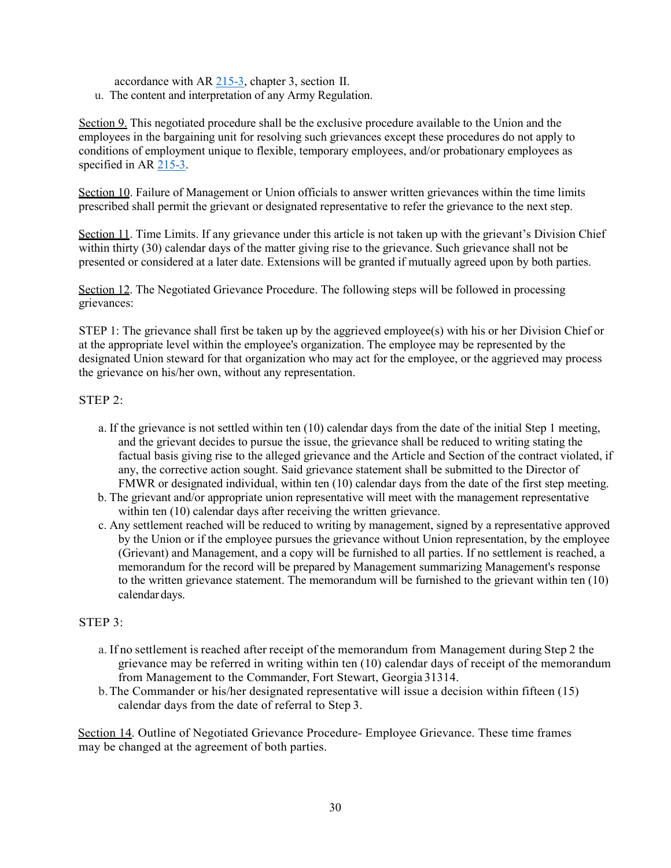accordance with AR 215-3, chapter 3, section II.

u. The content and interpretation of any Army Regulation.

Section 9. This negotiated procedure shall be the exclusive procedure available to the Union and the employees in the bargaining unit for resolving such grievances except these procedures do not apply to conditions of employment unique to flexible, temporary employees, and/or probationary employees as specified in AR 215-3.

Section 10. Failure of Management or Union officials to answer written grievances within the time limits prescribed shall permit the grievant or designated representative to refer the grievance to the next step.

Section 11. Time Limits. If any grievance under this article is not taken up with the grievant's Division Chief within thirty (30) calendar days of the matter giving rise to the grievance. Such grievance shall not be presented or considered at a later date. Extensions will be granted if mutually agreed upon by both parties.

Section 12. The Negotiated Grievance Procedure. The following steps will be followed in processing grievances:

STEP 1: The grievance shall first be taken up by the aggrieved employee(s) with his or her Division Chief or at the appropriate level within the employee's organization. The employee may be represented by the designated Union steward for that organization who may act for the employee, or the aggrieved may process the grievance on his/her own, without any representation.

## STEP 2:

- a. If the grievance is not settled within ten (10) calendar days from the date of the initial Step 1 meeting, and the grievant decides to pursue the issue, the grievance shall be reduced to writing stating the factual basis giving rise to the alleged grievance and the Article and Section of the contract violated, if any, the corrective action sought. Said grievance statement shall be submitted to the Director of FMWR or designated individual, within ten (10) calendar days from the date of the first step meeting.
- b. The grievant and/or appropriate union representative will meet with the management representative within ten (10) calendar days after receiving the written grievance.
- c. Any settlement reached will be reduced to writing by management, signed by a representative approved by the Union or if the employee pursues the grievance without Union representation, by the employee (Grievant) and Management, and a copy will be furnished to all parties. If no settlement is reached, a memorandum for the record will be prepared by Management summarizing Management's response to the written grievance statement. The memorandum will be furnished to the grievant within ten (10) calendar days.

## STEP 3:

- a. If no settlement is reached after receipt of the memorandum from Management during Step 2 the grievance may be referred in writing within ten (10) calendar days of receipt of the memorandum from Management to the Commander, Fort Stewart, Georgia 31314.
- b.The Commander or his/her designated representative will issue a decision within fifteen (15) calendar days from the date of referral to Step 3.

Section 14. Outline of Negotiated Grievance Procedure- Employee Grievance. These time frames may be changed at the agreement of both parties.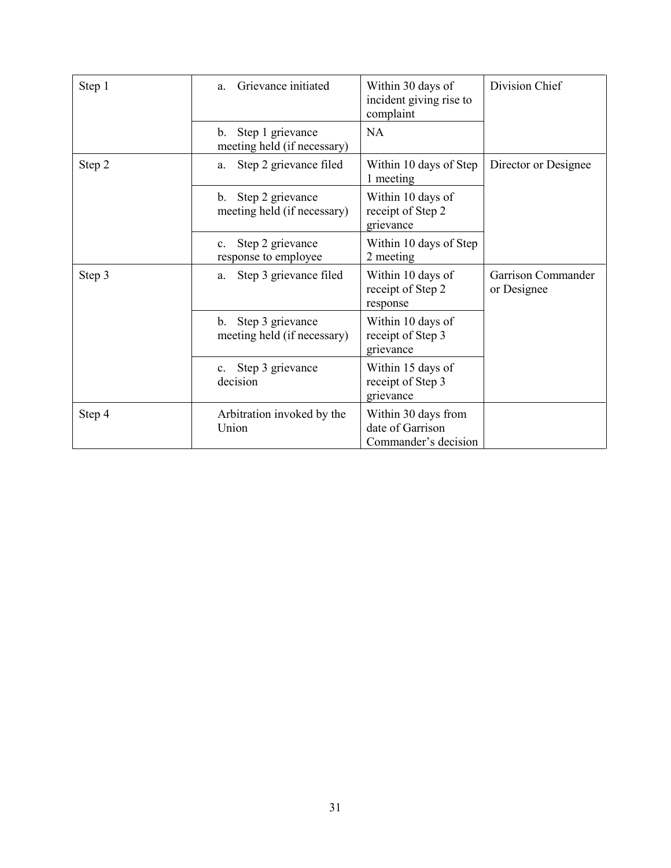| Step 1 | Grievance initiated<br>a.                                         | Within 30 days of<br>incident giving rise to<br>complaint       | Division Chief                    |  |
|--------|-------------------------------------------------------------------|-----------------------------------------------------------------|-----------------------------------|--|
|        | Step 1 grievance<br>$\mathbf{b}$ .<br>meeting held (if necessary) | <b>NA</b>                                                       |                                   |  |
| Step 2 | Step 2 grievance filed<br>a.                                      | Within 10 days of Step<br>1 meeting                             | Director or Designee              |  |
|        | Step 2 grievance<br>b.<br>meeting held (if necessary)             | Within 10 days of<br>receipt of Step 2<br>grievance             |                                   |  |
|        | Step 2 grievance<br>c.<br>response to employee                    | Within 10 days of Step<br>2 meeting                             |                                   |  |
| Step 3 | Step 3 grievance filed<br>a.                                      | Within 10 days of<br>receipt of Step 2<br>response              | Garrison Commander<br>or Designee |  |
|        | Step 3 grievance<br>$\mathbf{b}$ .<br>meeting held (if necessary) | Within 10 days of<br>receipt of Step 3<br>grievance             |                                   |  |
|        | Step 3 grievance<br>$c_{\rm}$ .<br>decision                       | Within 15 days of<br>receipt of Step 3<br>grievance             |                                   |  |
| Step 4 | Arbitration invoked by the<br>Union                               | Within 30 days from<br>date of Garrison<br>Commander's decision |                                   |  |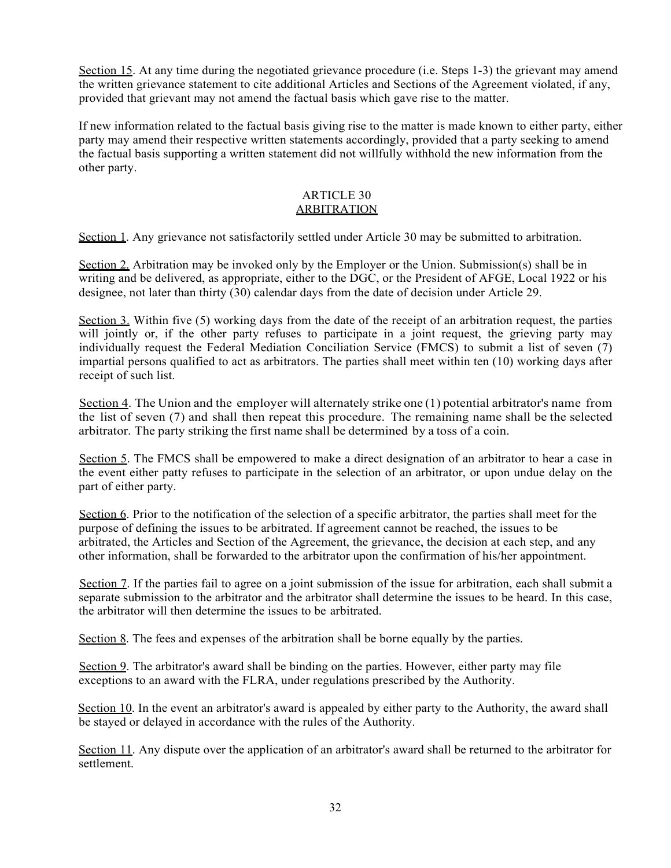Section 15. At any time during the negotiated grievance procedure (i.e. Steps 1-3) the grievant may amend the written grievance statement to cite additional Articles and Sections of the Agreement violated, if any, provided that grievant may not amend the factual basis which gave rise to the matter.

If new information related to the factual basis giving rise to the matter is made known to either party, either party may amend their respective written statements accordingly, provided that a party seeking to amend the factual basis supporting a written statement did not willfully withhold the new information from the other party.

#### ARTICLE 30 ARBITRATION

Section 1. Any grievance not satisfactorily settled under Article 30 may be submitted to arbitration.

Section 2. Arbitration may be invoked only by the Employer or the Union. Submission(s) shall be in writing and be delivered, as appropriate, either to the DGC, or the President of AFGE, Local 1922 or his designee, not later than thirty (30) calendar days from the date of decision under Article 29.

Section 3. Within five (5) working days from the date of the receipt of an arbitration request, the parties will jointly or, if the other party refuses to participate in a joint request, the grieving party may individually request the Federal Mediation Conciliation Service (FMCS) to submit a list of seven (7) impartial persons qualified to act as arbitrators. The parties shall meet within ten (10) working days after receipt of such list.

Section 4. The Union and the employer will alternately strike one (1) potential arbitrator's name from the list of seven (7) and shall then repeat this procedure. The remaining name shall be the selected arbitrator. The party striking the first name shall be determined by a toss of a coin.

Section 5. The FMCS shall be empowered to make a direct designation of an arbitrator to hear a case in the event either patty refuses to participate in the selection of an arbitrator, or upon undue delay on the part of either party.

Section 6. Prior to the notification of the selection of a specific arbitrator, the parties shall meet for the purpose of defining the issues to be arbitrated. If agreement cannot be reached, the issues to be arbitrated, the Articles and Section of the Agreement, the grievance, the decision at each step, and any other information, shall be forwarded to the arbitrator upon the confirmation of his/her appointment.

Section 7. If the parties fail to agree on a joint submission of the issue for arbitration, each shall submit a separate submission to the arbitrator and the arbitrator shall determine the issues to be heard. In this case, the arbitrator will then determine the issues to be arbitrated.

Section 8. The fees and expenses of the arbitration shall be borne equally by the parties.

Section 9. The arbitrator's award shall be binding on the parties. However, either party may file exceptions to an award with the FLRA, under regulations prescribed by the Authority.

Section 10. In the event an arbitrator's award is appealed by either party to the Authority, the award shall be stayed or delayed in accordance with the rules of the Authority.

Section 11. Any dispute over the application of an arbitrator's award shall be returned to the arbitrator for settlement.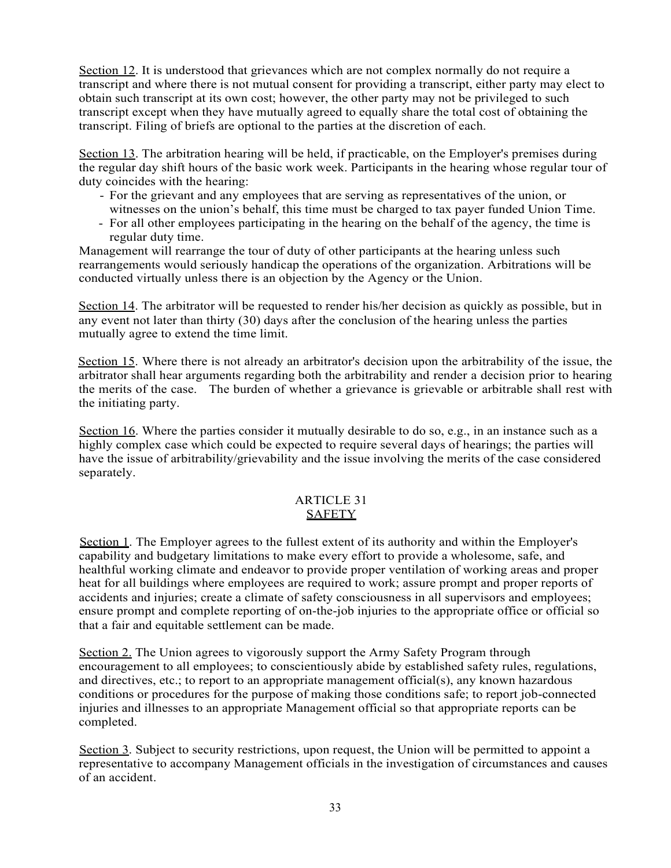Section 12. It is understood that grievances which are not complex normally do not require a transcript and where there is not mutual consent for providing a transcript, either party may elect to obtain such transcript at its own cost; however, the other party may not be privileged to such transcript except when they have mutually agreed to equally share the total cost of obtaining the transcript. Filing of briefs are optional to the parties at the discretion of each.

Section 13. The arbitration hearing will be held, if practicable, on the Employer's premises during the regular day shift hours of the basic work week. Participants in the hearing whose regular tour of duty coincides with the hearing:

- For the grievant and any employees that are serving as representatives of the union, or witnesses on the union's behalf, this time must be charged to tax payer funded Union Time.
- For all other employees participating in the hearing on the behalf of the agency, the time is regular duty time.

Management will rearrange the tour of duty of other participants at the hearing unless such rearrangements would seriously handicap the operations of the organization. Arbitrations will be conducted virtually unless there is an objection by the Agency or the Union.

Section 14. The arbitrator will be requested to render his/her decision as quickly as possible, but in any event not later than thirty (30) days after the conclusion of the hearing unless the parties mutually agree to extend the time limit.

Section 15. Where there is not already an arbitrator's decision upon the arbitrability of the issue, the arbitrator shall hear arguments regarding both the arbitrability and render a decision prior to hearing the merits of the case. The burden of whether a grievance is grievable or arbitrable shall rest with the initiating party.

Section 16. Where the parties consider it mutually desirable to do so, e.g., in an instance such as a highly complex case which could be expected to require several days of hearings; the parties will have the issue of arbitrability/grievability and the issue involving the merits of the case considered separately.

## ARTICLE 31 SAFETY

Section 1. The Employer agrees to the fullest extent of its authority and within the Employer's capability and budgetary limitations to make every effort to provide a wholesome, safe, and healthful working climate and endeavor to provide proper ventilation of working areas and proper heat for all buildings where employees are required to work; assure prompt and proper reports of accidents and injuries; create a climate of safety consciousness in all supervisors and employees; ensure prompt and complete reporting of on-the-job injuries to the appropriate office or official so that a fair and equitable settlement can be made.

Section 2. The Union agrees to vigorously support the Army Safety Program through encouragement to all employees; to conscientiously abide by established safety rules, regulations, and directives, etc.; to report to an appropriate management official(s), any known hazardous conditions or procedures for the purpose of making those conditions safe; to report job-connected injuries and illnesses to an appropriate Management official so that appropriate reports can be completed.

Section 3. Subject to security restrictions, upon request, the Union will be permitted to appoint a representative to accompany Management officials in the investigation of circumstances and causes of an accident.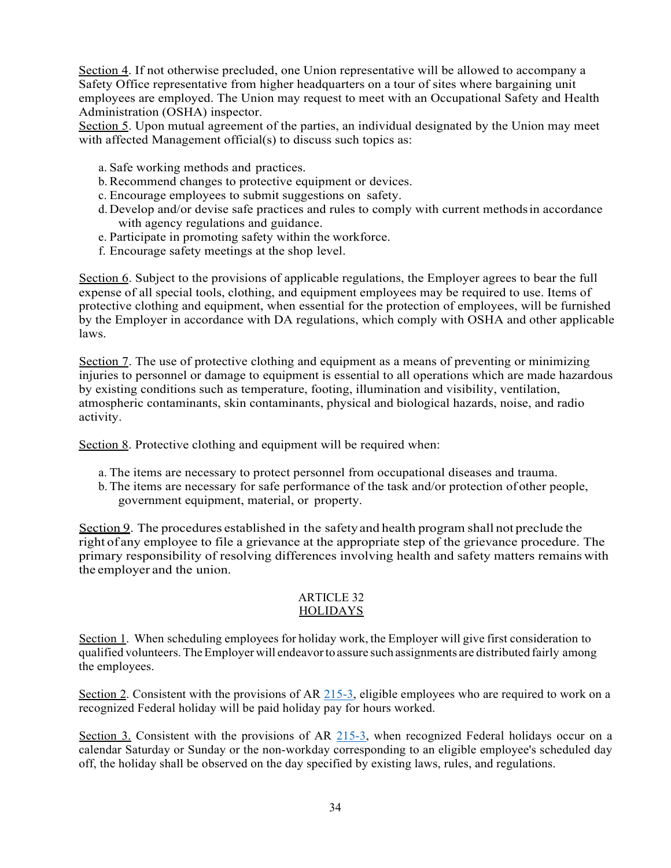Section 4. If not otherwise precluded, one Union representative will be allowed to accompany a Safety Office representative from higher headquarters on a tour of sites where bargaining unit employees are employed. The Union may request to meet with an Occupational Safety and Health Administration (OSHA) inspector.

Section 5. Upon mutual agreement of the parties, an individual designated by the Union may meet with affected Management official(s) to discuss such topics as:

- a. Safe working methods and practices.
- b.Recommend changes to protective equipment or devices.
- c. Encourage employees to submit suggestions on safety.
- d. Develop and/or devise safe practices and rules to comply with current methodsin accordance with agency regulations and guidance.
- e. Participate in promoting safety within the workforce.
- f. Encourage safety meetings at the shop level.

Section 6. Subject to the provisions of applicable regulations, the Employer agrees to bear the full expense of all special tools, clothing, and equipment employees may be required to use. Items of protective clothing and equipment, when essential for the protection of employees, will be furnished by the Employer in accordance with DA regulations, which comply with OSHA and other applicable laws.

Section 7. The use of protective clothing and equipment as a means of preventing or minimizing injuries to personnel or damage to equipment is essential to all operations which are made hazardous by existing conditions such as temperature, footing, illumination and visibility, ventilation, atmospheric contaminants, skin contaminants, physical and biological hazards, noise, and radio activity.

Section 8. Protective clothing and equipment will be required when:

- a. The items are necessary to protect personnel from occupational diseases and trauma.
- b. The items are necessary for safe performance of the task and/or protection of other people, government equipment, material, or property.

Section 9. The procedures established in the safety and health program shall not preclude the right of any employee to file a grievance at the appropriate step of the grievance procedure. The primary responsibility of resolving differences involving health and safety matters remains with the employer and the union.

#### ARTICLE 32 HOLIDAYS

Section 1. When scheduling employees for holiday work, the Employer will give first consideration to qualified volunteers.TheEmployer will endeavorto assure such assignments are distributed fairly among the employees.

Section 2. Consistent with the provisions of AR 215-3, eligible employees who are required to work on a recognized Federal holiday will be paid holiday pay for hours worked.

Section 3. Consistent with the provisions of AR 215-3, when recognized Federal holidays occur on a calendar Saturday or Sunday or the non-workday corresponding to an eligible employee's scheduled day off, the holiday shall be observed on the day specified by existing laws, rules, and regulations.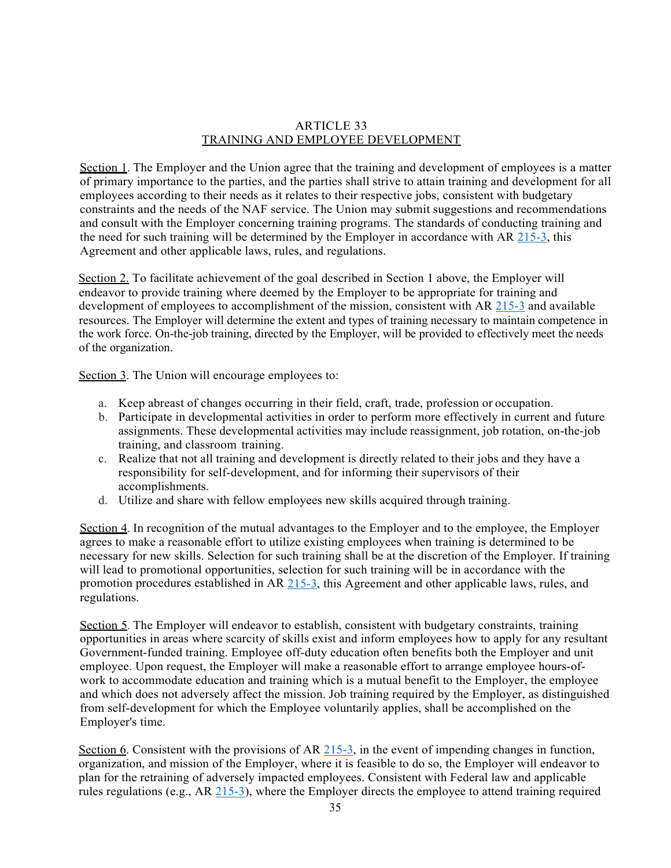#### ARTICLE 33 TRAINING AND EMPLOYEE DEVELOPMENT

Section 1. The Employer and the Union agree that the training and development of employees is a matter of primary importance to the parties, and the parties shall strive to attain training and development for all employees according to their needs as it relates to their respective jobs, consistent with budgetary constraints and the needs of the NAF service. The Union may submit suggestions and recommendations and consult with the Employer concerning training programs. The standards of conducting training and the need for such training will be determined by the Employer in accordance with AR 215-3, this Agreement and other applicable laws, rules, and regulations.

Section 2. To facilitate achievement of the goal described in Section 1 above, the Employer will endeavor to provide training where deemed by the Employer to be appropriate for training and development of employees to accomplishment of the mission, consistent with AR 215-3 and available resources. The Employer will determine the extent and types of training necessary to maintain competence in the work force. On-the-job training, directed by the Employer, will be provided to effectively meet the needs of the organization.

Section 3. The Union will encourage employees to:

- a. Keep abreast of changes occurring in their field, craft, trade, profession or occupation.
- b. Participate in developmental activities in order to perform more effectively in current and future assignments. These developmental activities may include reassignment, job rotation, on-the-job training, and classroom training.
- c. Realize that not all training and development is directly related to their jobs and they have a responsibility for self-development, and for informing their supervisors of their accomplishments.
- d. Utilize and share with fellow employees new skills acquired through training.

Section 4. In recognition of the mutual advantages to the Employer and to the employee, the Employer agrees to make a reasonable effort to utilize existing employees when training is determined to be necessary for new skills. Selection for such training shall be at the discretion of the Employer. If training will lead to promotional opportunities, selection for such training will be in accordance with the promotion procedures established in AR 215-3, this Agreement and other applicable laws, rules, and regulations.

Section 5. The Employer will endeavor to establish, consistent with budgetary constraints, training opportunities in areas where scarcity of skills exist and inform employees how to apply for any resultant Government-funded training. Employee off-duty education often benefits both the Employer and unit employee. Upon request, the Employer will make a reasonable effort to arrange employee hours-ofwork to accommodate education and training which is a mutual benefit to the Employer, the employee and which does not adversely affect the mission. Job training required by the Employer, as distinguished from self-development for which the Employee voluntarily applies, shall be accomplished on the Employer's time.

Section 6. Consistent with the provisions of AR 215-3, in the event of impending changes in function, organization, and mission of the Employer, where it is feasible to do so, the Employer will endeavor to plan for the retraining of adversely impacted employees. Consistent with Federal law and applicable rules regulations (e.g., AR 215-3), where the Employer directs the employee to attend training required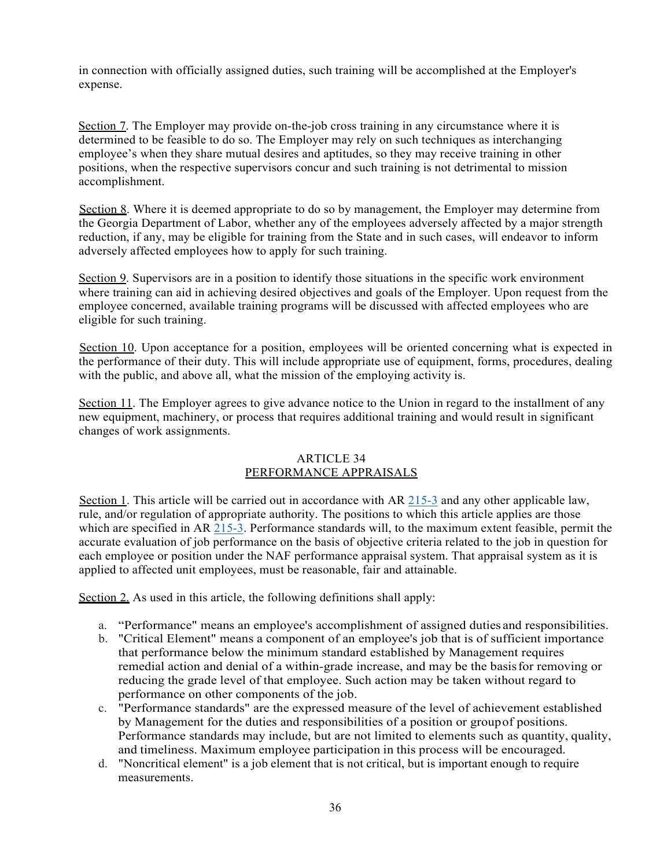in connection with officially assigned duties, such training will be accomplished at the Employer's expense.

Section 7. The Employer may provide on-the-job cross training in any circumstance where it is determined to be feasible to do so. The Employer may rely on such techniques as interchanging employee's when they share mutual desires and aptitudes, so they may receive training in other positions, when the respective supervisors concur and such training is not detrimental to mission accomplishment.

Section 8. Where it is deemed appropriate to do so by management, the Employer may determine from the Georgia Department of Labor, whether any of the employees adversely affected by a major strength reduction, if any, may be eligible for training from the State and in such cases, will endeavor to inform adversely affected employees how to apply for such training.

Section 9. Supervisors are in a position to identify those situations in the specific work environment where training can aid in achieving desired objectives and goals of the Employer. Upon request from the employee concerned, available training programs will be discussed with affected employees who are eligible for such training.

Section 10. Upon acceptance for a position, employees will be oriented concerning what is expected in the performance of their duty. This will include appropriate use of equipment, forms, procedures, dealing with the public, and above all, what the mission of the employing activity is.

Section 11. The Employer agrees to give advance notice to the Union in regard to the installment of any new equipment, machinery, or process that requires additional training and would result in significant changes of work assignments.

## ARTICLE 34 PERFORMANCE APPRAISALS

Section 1. This article will be carried out in accordance with AR 215-3 and any other applicable law, rule, and/or regulation of appropriate authority. The positions to which this article applies are those which are specified in AR 215-3. Performance standards will, to the maximum extent feasible, permit the accurate evaluation of job performance on the basis of objective criteria related to the job in question for each employee or position under the NAF performance appraisal system. That appraisal system as it is applied to affected unit employees, must be reasonable, fair and attainable.

Section 2. As used in this article, the following definitions shall apply:

- a. "Performance" means an employee's accomplishment of assigned duties and responsibilities.
- b. "Critical Element" means a component of an employee's job that is of sufficient importance that performance below the minimum standard established by Management requires remedial action and denial of a within-grade increase, and may be the basisfor removing or reducing the grade level of that employee. Such action may be taken without regard to performance on other components of the job.
- c. "Performance standards" are the expressed measure of the level of achievement established by Management for the duties and responsibilities of a position or groupof positions. Performance standards may include, but are not limited to elements such as quantity, quality, and timeliness. Maximum employee participation in this process will be encouraged.
- d. "Noncritical element" is a job element that is not critical, but is important enough to require measurements.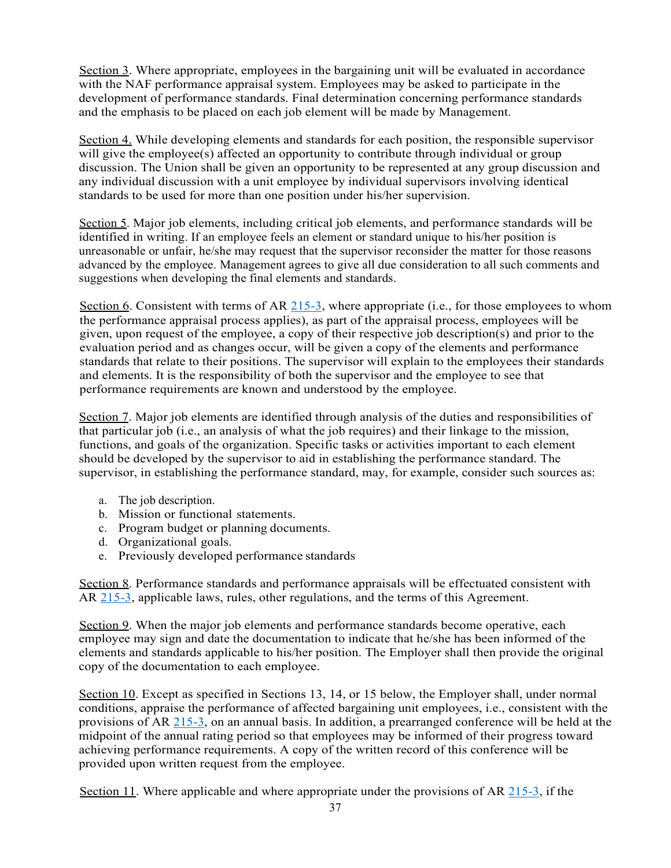Section 3. Where appropriate, employees in the bargaining unit will be evaluated in accordance with the NAF performance appraisal system. Employees may be asked to participate in the development of performance standards. Final determination concerning performance standards and the emphasis to be placed on each job element will be made by Management.

Section 4. While developing elements and standards for each position, the responsible supervisor will give the employee(s) affected an opportunity to contribute through individual or group discussion. The Union shall be given an opportunity to be represented at any group discussion and any individual discussion with a unit employee by individual supervisors involving identical standards to be used for more than one position under his/her supervision.

Section 5. Major job elements, including critical job elements, and performance standards will be identified in writing. If an employee feels an element or standard unique to his/her position is unreasonable or unfair, he/she may request that the supervisor reconsider the matter for those reasons advanced by the employee. Management agrees to give all due consideration to all such comments and suggestions when developing the final elements and standards.

Section 6. Consistent with terms of AR  $215-3$ , where appropriate (i.e., for those employees to whom the performance appraisal process applies), as part of the appraisal process, employees will be given, upon request of the employee, a copy of their respective job description(s) and prior to the evaluation period and as changes occur, will be given a copy of the elements and performance standards that relate to their positions. The supervisor will explain to the employees their standards and elements. It is the responsibility of both the supervisor and the employee to see that performance requirements are known and understood by the employee.

Section 7. Major job elements are identified through analysis of the duties and responsibilities of that particular job (i.e., an analysis of what the job requires) and their linkage to the mission, functions, and goals of the organization. Specific tasks or activities important to each element should be developed by the supervisor to aid in establishing the performance standard. The supervisor, in establishing the performance standard, may, for example, consider such sources as:

- a. The job description.
- b. Mission or functional statements.
- c. Program budget or planning documents.
- d. Organizational goals.
- e. Previously developed performance standards

Section 8. Performance standards and performance appraisals will be effectuated consistent with AR 215-3, applicable laws, rules, other regulations, and the terms of this Agreement.

Section 9. When the major job elements and performance standards become operative, each employee may sign and date the documentation to indicate that he/she has been informed of the elements and standards applicable to his/her position. The Employer shall then provide the original copy of the documentation to each employee.

Section 10. Except as specified in Sections 13, 14, or 15 below, the Employer shall, under normal conditions, appraise the performance of affected bargaining unit employees, i.e., consistent with the provisions of AR 215-3, on an annual basis. In addition, a prearranged conference will be held at the midpoint of the annual rating period so that employees may be informed of their progress toward achieving performance requirements. A copy of the written record of this conference will be provided upon written request from the employee.

Section 11. Where applicable and where appropriate under the provisions of AR 215-3, if the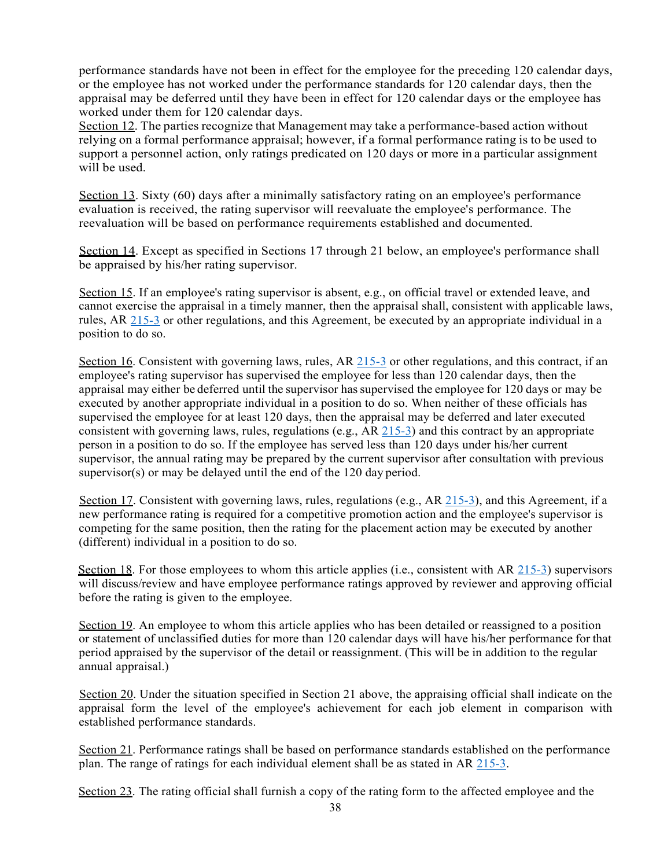performance standards have not been in effect for the employee for the preceding 120 calendar days, or the employee has not worked under the performance standards for 120 calendar days, then the appraisal may be deferred until they have been in effect for 120 calendar days or the employee has worked under them for 120 calendar days.

Section 12. The parties recognize that Management may take a performance-based action without relying on a formal performance appraisal; however, if a formal performance rating is to be used to support a personnel action, only ratings predicated on 120 days or more in a particular assignment will be used.

Section 13. Sixty (60) days after a minimally satisfactory rating on an employee's performance evaluation is received, the rating supervisor will reevaluate the employee's performance. The reevaluation will be based on performance requirements established and documented.

Section 14. Except as specified in Sections 17 through 21 below, an employee's performance shall be appraised by his/her rating supervisor.

Section 15. If an employee's rating supervisor is absent, e.g., on official travel or extended leave, and cannot exercise the appraisal in a timely manner, then the appraisal shall, consistent with applicable laws, rules, AR 215-3 or other regulations, and this Agreement, be executed by an appropriate individual in a position to do so.

Section 16. Consistent with governing laws, rules, AR 215-3 or other regulations, and this contract, if an employee's rating supervisor has supervised the employee for less than 120 calendar days, then the appraisal may either be deferred until the supervisor hassupervised the employee for 120 days or may be executed by another appropriate individual in a position to do so. When neither of these officials has supervised the employee for at least 120 days, then the appraisal may be deferred and later executed consistent with governing laws, rules, regulations (e.g.,  $AR$  215-3) and this contract by an appropriate person in a position to do so. If the employee has served less than 120 days under his/her current supervisor, the annual rating may be prepared by the current supervisor after consultation with previous supervisor(s) or may be delayed until the end of the 120 day period.

Section 17. Consistent with governing laws, rules, regulations (e.g., AR 215-3), and this Agreement, if a new performance rating is required for a competitive promotion action and the employee's supervisor is competing for the same position, then the rating for the placement action may be executed by another (different) individual in a position to do so.

Section 18. For those employees to whom this article applies (i.e., consistent with AR 215-3) supervisors will discuss/review and have employee performance ratings approved by reviewer and approving official before the rating is given to the employee.

Section 19. An employee to whom this article applies who has been detailed or reassigned to a position or statement of unclassified duties for more than 120 calendar days will have his/her performance for that period appraised by the supervisor of the detail or reassignment. (This will be in addition to the regular annual appraisal.)

Section 20. Under the situation specified in Section 21 above, the appraising official shall indicate on the appraisal form the level of the employee's achievement for each job element in comparison with established performance standards.

Section 21. Performance ratings shall be based on performance standards established on the performance plan. The range of ratings for each individual element shall be as stated in AR 215-3.

Section 23. The rating official shall furnish a copy of the rating form to the affected employee and the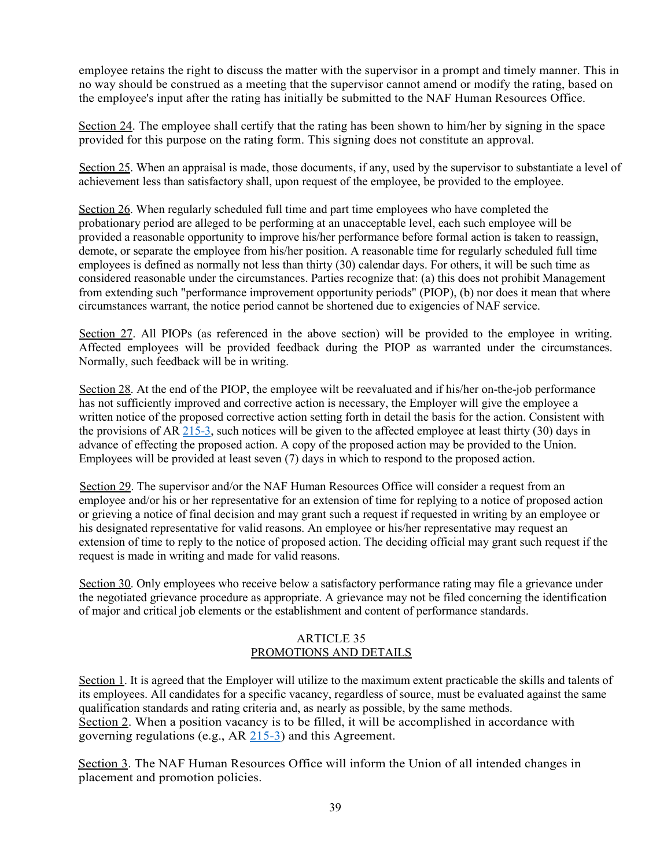employee retains the right to discuss the matter with the supervisor in a prompt and timely manner. This in no way should be construed as a meeting that the supervisor cannot amend or modify the rating, based on the employee's input after the rating has initially be submitted to the NAF Human Resources Office.

Section 24. The employee shall certify that the rating has been shown to him/her by signing in the space provided for this purpose on the rating form. This signing does not constitute an approval.

Section 25. When an appraisal is made, those documents, if any, used by the supervisor to substantiate a level of achievement less than satisfactory shall, upon request of the employee, be provided to the employee.

Section 26. When regularly scheduled full time and part time employees who have completed the probationary period are alleged to be performing at an unacceptable level, each such employee will be provided a reasonable opportunity to improve his/her performance before formal action is taken to reassign, demote, or separate the employee from his/her position. A reasonable time for regularly scheduled full time employees is defined as normally not less than thirty (30) calendar days. For others, it will be such time as considered reasonable under the circumstances. Parties recognize that: (a) this does not prohibit Management from extending such "performance improvement opportunity periods" (PIOP), (b) nor does it mean that where circumstances warrant, the notice period cannot be shortened due to exigencies of NAF service.

Section 27. All PIOPs (as referenced in the above section) will be provided to the employee in writing. Affected employees will be provided feedback during the PIOP as warranted under the circumstances. Normally, such feedback will be in writing.

Section 28. At the end of the PIOP, the employee wilt be reevaluated and if his/her on-the-job performance has not sufficiently improved and corrective action is necessary, the Employer will give the employee a written notice of the proposed corrective action setting forth in detail the basis for the action. Consistent with the provisions of AR 215-3, such notices will be given to the affected employee at least thirty (30) days in advance of effecting the proposed action. A copy of the proposed action may be provided to the Union. Employees will be provided at least seven (7) days in which to respond to the proposed action.

Section 29. The supervisor and/or the NAF Human Resources Office will consider a request from an employee and/or his or her representative for an extension of time for replying to a notice of proposed action or grieving a notice of final decision and may grant such a request if requested in writing by an employee or his designated representative for valid reasons. An employee or his/her representative may request an extension of time to reply to the notice of proposed action. The deciding official may grant such request if the request is made in writing and made for valid reasons.

Section 30. Only employees who receive below a satisfactory performance rating may file a grievance under the negotiated grievance procedure as appropriate. A grievance may not be filed concerning the identification of major and critical job elements or the establishment and content of performance standards.

## ARTICLE 35 PROMOTIONS AND DETAILS

Section 1. It is agreed that the Employer will utilize to the maximum extent practicable the skills and talents of its employees. All candidates for a specific vacancy, regardless of source, must be evaluated against the same qualification standards and rating criteria and, as nearly as possible, by the same methods. Section 2. When a position vacancy is to be filled, it will be accomplished in accordance with governing regulations (e.g., AR 215-3) and this Agreement.

Section 3. The NAF Human Resources Office will inform the Union of all intended changes in placement and promotion policies.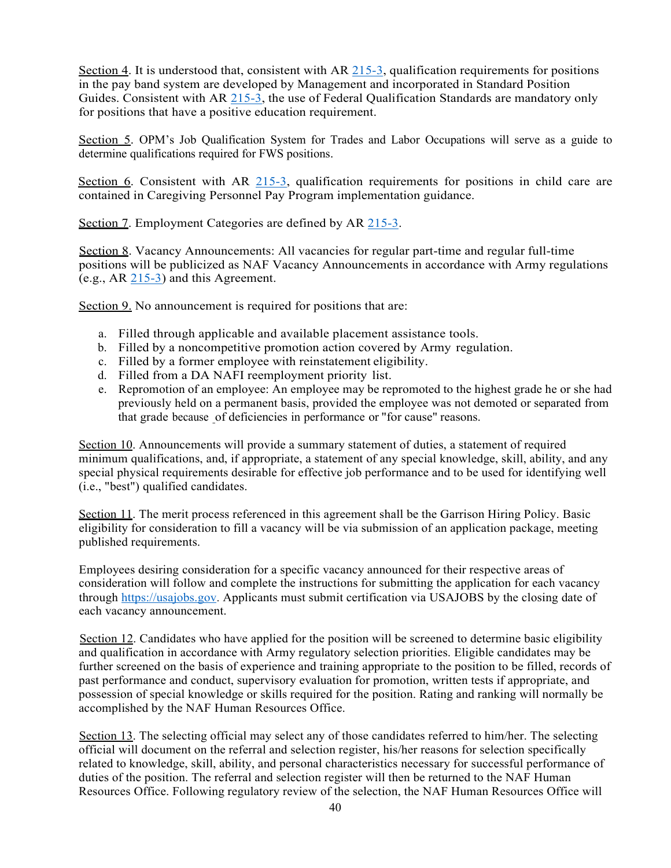Section 4. It is understood that, consistent with AR  $215-3$ , qualification requirements for positions in the pay band system are developed by Management and incorporated in Standard Position Guides. Consistent with AR  $215-3$ , the use of Federal Qualification Standards are mandatory only for positions that have a positive education requirement.

Section 5. OPM's Job Qualification System for Trades and Labor Occupations will serve as a guide to determine qualifications required for FWS positions.

Section 6. Consistent with AR 215-3, qualification requirements for positions in child care are contained in Caregiving Personnel Pay Program implementation guidance.

Section 7. Employment Categories are defined by AR 215-3.

Section 8. Vacancy Announcements: All vacancies for regular part-time and regular full-time positions will be publicized as NAF Vacancy Announcements in accordance with Army regulations (e.g., AR 215-3) and this Agreement.

Section 9. No announcement is required for positions that are:

- a. Filled through applicable and available placement assistance tools.
- b. Filled by a noncompetitive promotion action covered by Army regulation.
- c. Filled by a former employee with reinstatement eligibility.
- d. Filled from a DA NAFI reemployment priority list.
- e. Repromotion of an employee: An employee may be repromoted to the highest grade he or she had previously held on a permanent basis, provided the employee was not demoted or separated from that grade because of deficiencies in performance or "for cause" reasons.

Section 10. Announcements will provide a summary statement of duties, a statement of required minimum qualifications, and, if appropriate, a statement of any special knowledge, skill, ability, and any special physical requirements desirable for effective job performance and to be used for identifying well (i.e., "best") qualified candidates.

Section 11. The merit process referenced in this agreement shall be the Garrison Hiring Policy. Basic eligibility for consideration to fill a vacancy will be via submission of an application package, meeting published requirements.

Employees desiring consideration for a specific vacancy announced for their respective areas of consideration will follow and complete the instructions for submitting the application for each vacancy through https://usajobs.gov. Applicants must submit certification via USAJOBS by the closing date of each vacancy announcement.

Section 12. Candidates who have applied for the position will be screened to determine basic eligibility and qualification in accordance with Army regulatory selection priorities. Eligible candidates may be further screened on the basis of experience and training appropriate to the position to be filled, records of past performance and conduct, supervisory evaluation for promotion, written tests if appropriate, and possession of special knowledge or skills required for the position. Rating and ranking will normally be accomplished by the NAF Human Resources Office.

Section 13. The selecting official may select any of those candidates referred to him/her. The selecting official will document on the referral and selection register, his/her reasons for selection specifically related to knowledge, skill, ability, and personal characteristics necessary for successful performance of duties of the position. The referral and selection register will then be returned to the NAF Human Resources Office. Following regulatory review of the selection, the NAF Human Resources Office will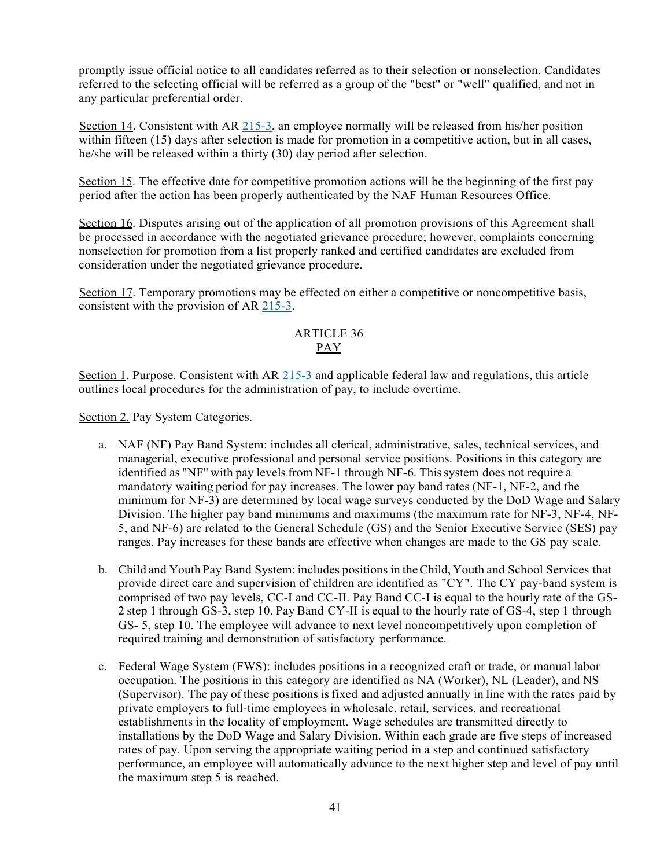promptly issue official notice to all candidates referred as to their selection or nonselection. Candidates referred to the selecting official will be referred as a group of the "best" or "well" qualified, and not in any particular preferential order.

Section 14. Consistent with AR 215-3, an employee normally will be released from his/her position within fifteen (15) days after selection is made for promotion in a competitive action, but in all cases, he/she will be released within a thirty (30) day period after selection.

Section 15. The effective date for competitive promotion actions will be the beginning of the first pay period after the action has been properly authenticated by the NAF Human Resources Office.

Section 16. Disputes arising out of the application of all promotion provisions of this Agreement shall be processed in accordance with the negotiated grievance procedure; however, complaints concerning nonselection for promotion from a list properly ranked and certified candidates are excluded from consideration under the negotiated grievance procedure.

Section 17. Temporary promotions may be effected on either a competitive or noncompetitive basis, consistent with the provision of AR 215-3.

## ARTICLE 36 PAY

Section 1. Purpose. Consistent with AR 215-3 and applicable federal law and regulations, this article outlines local procedures for the administration of pay, to include overtime.

Section 2. Pay System Categories.

- a. NAF (NF) Pay Band System: includes all clerical, administrative, sales, technical services, and managerial, executive professional and personal service positions. Positions in this category are identified as "NF" with pay levels from NF-1 through NF-6. This system does not require a mandatory waiting period for pay increases. The lower pay band rates (NF-1, NF-2, and the minimum for NF-3) are determined by local wage surveys conducted by the DoD Wage and Salary Division. The higher pay band minimums and maximums (the maximum rate for NF-3, NF-4, NF-5, and NF-6) are related to the General Schedule (GS) and the Senior Executive Service (SES) pay ranges. Pay increases for these bands are effective when changes are made to the GS pay scale.
- b. Child and Youth Pay Band System: includes positions in theChild, Youth and School Services that provide direct care and supervision of children are identified as "CY". The CY pay-band system is comprised of two pay levels, CC-I and CC-II. Pay Band CC-I is equal to the hourly rate of the GS-2 step 1 through GS-3, step 10. Pay Band CY-II is equal to the hourly rate of GS-4, step 1 through GS- 5, step 10. The employee will advance to next level noncompetitively upon completion of required training and demonstration of satisfactory performance.
- c. Federal Wage System (FWS): includes positions in a recognized craft or trade, or manual labor occupation. The positions in this category are identified as NA (Worker), NL (Leader), and NS (Supervisor). The pay of these positions isfixed and adjusted annually in line with the rates paid by private employers to full-time employees in wholesale, retail, services, and recreational establishments in the locality of employment. Wage schedules are transmitted directly to installations by the DoD Wage and Salary Division. Within each grade are five steps of increased rates of pay. Upon serving the appropriate waiting period in a step and continued satisfactory performance, an employee will automatically advance to the next higher step and level of pay until the maximum step  $5$  is reached.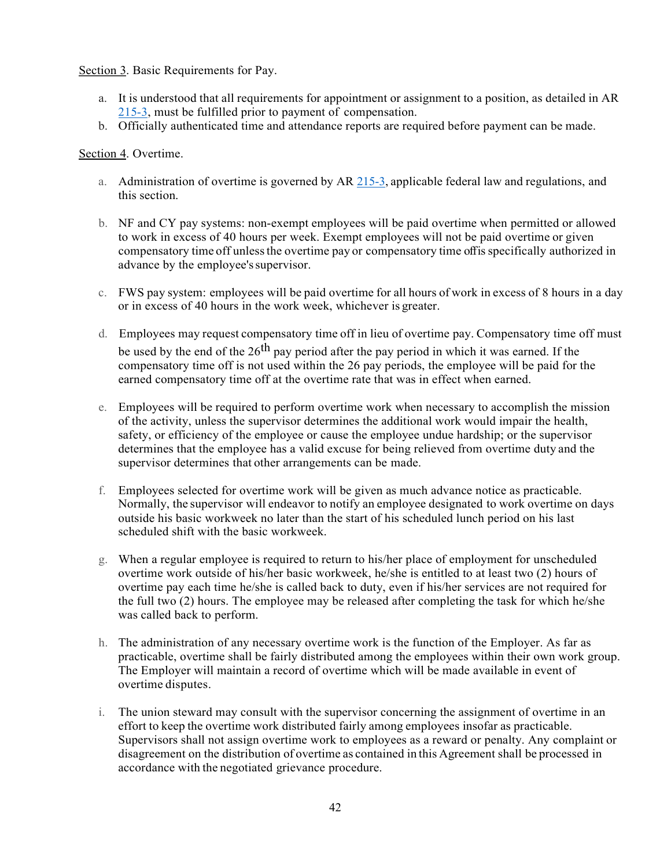## Section 3. Basic Requirements for Pay.

- a. It is understood that all requirements for appointment or assignment to a position, as detailed in AR 215-3, must be fulfilled prior to payment of compensation.
- b. Officially authenticated time and attendance reports are required before payment can be made.

#### Section 4. Overtime.

- a. Administration of overtime is governed by AR 215-3, applicable federal law and regulations, and this section.
- b. NF and CY pay systems: non-exempt employees will be paid overtime when permitted or allowed to work in excess of 40 hours per week. Exempt employees will not be paid overtime or given compensatory time off unlessthe overtime pay or compensatory time offis specifically authorized in advance by the employee'ssupervisor.
- c. FWS pay system: employees will be paid overtime for all hours of work in excess of 8 hours in a day or in excess of 40 hours in the work week, whichever is greater.
- d. Employees may request compensatory time off in lieu of overtime pay. Compensatory time off must be used by the end of the  $26<sup>th</sup>$  pay period after the pay period in which it was earned. If the compensatory time off is not used within the 26 pay periods, the employee will be paid for the earned compensatory time off at the overtime rate that was in effect when earned.
- e. Employees will be required to perform overtime work when necessary to accomplish the mission of the activity, unless the supervisor determines the additional work would impair the health, safety, or efficiency of the employee or cause the employee undue hardship; or the supervisor determines that the employee has a valid excuse for being relieved from overtime duty and the supervisor determines that other arrangements can be made.
- f. Employees selected for overtime work will be given as much advance notice as practicable. Normally, the supervisor will endeavor to notify an employee designated to work overtime on days outside his basic workweek no later than the start of his scheduled lunch period on his last scheduled shift with the basic workweek.
- g. When a regular employee is required to return to his/her place of employment for unscheduled overtime work outside of his/her basic workweek, he/she is entitled to at least two (2) hours of overtime pay each time he/she is called back to duty, even if his/her services are not required for the full two (2) hours. The employee may be released after completing the task for which he/she was called back to perform.
- h. The administration of any necessary overtime work is the function of the Employer. As far as practicable, overtime shall be fairly distributed among the employees within their own work group. The Employer will maintain a record of overtime which will be made available in event of overtime disputes.
- i. The union steward may consult with the supervisor concerning the assignment of overtime in an effort to keep the overtime work distributed fairly among employees insofar as practicable. Supervisors shall not assign overtime work to employees as a reward or penalty. Any complaint or disagreement on the distribution of overtime as contained in this Agreement shall be processed in accordance with the negotiated grievance procedure.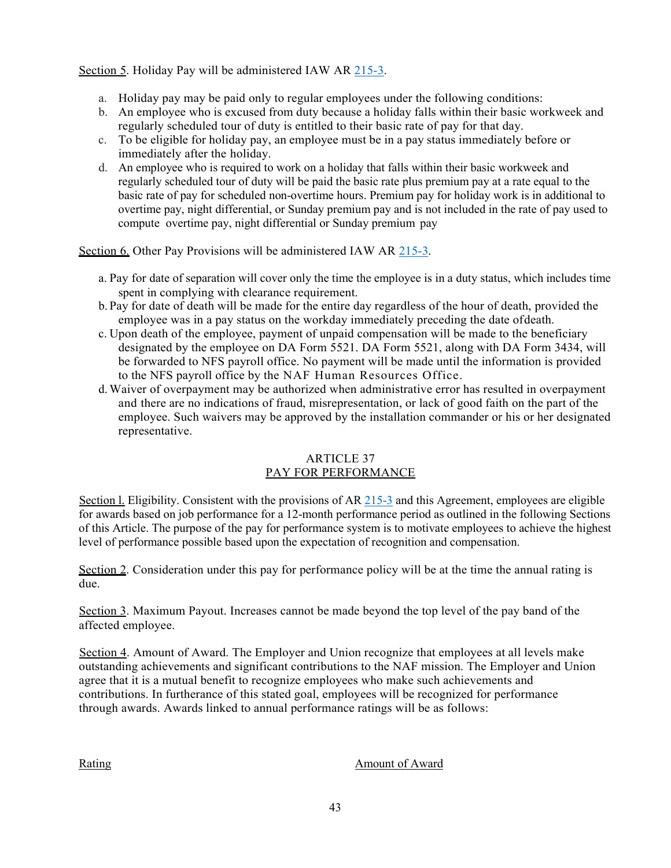Section 5. Holiday Pay will be administered IAW AR 215-3.

- a. Holiday pay may be paid only to regular employees under the following conditions:
- b. An employee who is excused from duty because a holiday falls within their basic workweek and regularly scheduled tour of duty is entitled to their basic rate of pay for that day.
- c. To be eligible for holiday pay, an employee must be in a pay status immediately before or immediately after the holiday.
- d. An employee who is required to work on a holiday that falls within their basic workweek and regularly scheduled tour of duty will be paid the basic rate plus premium pay at a rate equal to the basic rate of pay for scheduled non-overtime hours. Premium pay for holiday work is in additional to overtime pay, night differential, or Sunday premium pay and is not included in the rate of pay used to compute overtime pay, night differential or Sunday premium pay

Section 6. Other Pay Provisions will be administered IAW AR 215-3.

- a. Pay for date of separation will cover only the time the employee is in a duty status, which includes time spent in complying with clearance requirement.
- b. Pay for date of death will be made for the entire day regardless of the hour of death, provided the employee was in a pay status on the workday immediately preceding the date ofdeath.
- c. Upon death of the employee, payment of unpaid compensation will be made to the beneficiary designated by the employee on DA Form 5521. DA Form 5521, along with DA Form 3434, will be forwarded to NFS payroll office. No payment will be made until the information is provided to the NFS payroll office by the NAF Human Resources Office.
- d.Waiver of overpayment may be authorized when administrative error has resulted in overpayment and there are no indications of fraud, misrepresentation, or lack of good faith on the part of the employee. Such waivers may be approved by the installation commander or his or her designated representative.

## ARTICLE 37 PAY FOR PERFORMANCE

Section 1. Eligibility. Consistent with the provisions of AR 215-3 and this Agreement, employees are eligible for awards based on job performance for a 12-month performance period as outlined in the following Sections of this Article. The purpose of the pay for performance system is to motivate employees to achieve the highest level of performance possible based upon the expectation of recognition and compensation.

Section 2. Consideration under this pay for performance policy will be at the time the annual rating is due.

Section 3. Maximum Payout. Increases cannot be made beyond the top level of the pay band of the affected employee.

Section 4. Amount of Award. The Employer and Union recognize that employees at all levels make outstanding achievements and significant contributions to the NAF mission. The Employer and Union agree that it is a mutual benefit to recognize employees who make such achievements and contributions. In furtherance of this stated goal, employees will be recognized for performance through awards. Awards linked to annual performance ratings will be as follows:

Rating **Amount of Award**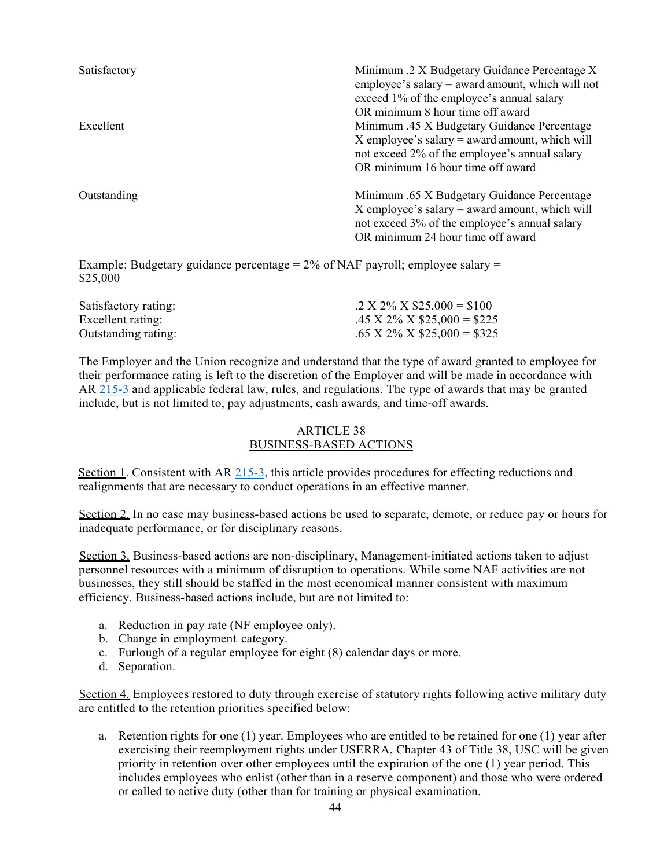| Satisfactory | Minimum .2 X Budgetary Guidance Percentage X<br>employee's salary $=$ award amount, which will not<br>exceed 1% of the employee's annual salary<br>OR minimum 8 hour time off award   |
|--------------|---------------------------------------------------------------------------------------------------------------------------------------------------------------------------------------|
| Excellent    | Minimum .45 X Budgetary Guidance Percentage<br>X employee's salary $=$ award amount, which will<br>not exceed 2% of the employee's annual salary<br>OR minimum 16 hour time off award |
| Outstanding  | Minimum .65 X Budgetary Guidance Percentage<br>X employee's salary $=$ award amount, which will<br>not exceed 3% of the employee's annual salary<br>OR minimum 24 hour time off award |

Example: Budgetary guidance percentage = 2% of NAF payroll; employee salary = \$25,000

| Satisfactory rating: | $.2 X 2\% X $25,000 = $100$                    |
|----------------------|------------------------------------------------|
| Excellent rating:    | $.45 \text{ X } 2\% \text{ X } $25,000 = $225$ |
| Outstanding rating:  | $.65$ X 2% X \$25,000 = \$325                  |

The Employer and the Union recognize and understand that the type of award granted to employee for their performance rating is left to the discretion of the Employer and will be made in accordance with AR 215-3 and applicable federal law, rules, and regulations. The type of awards that may be granted include, but is not limited to, pay adjustments, cash awards, and time-off awards.

## ARTICLE 38 BUSINESS-BASED ACTIONS

Section 1. Consistent with AR 215-3, this article provides procedures for effecting reductions and realignments that are necessary to conduct operations in an effective manner.

Section 2. In no case may business-based actions be used to separate, demote, or reduce pay or hours for inadequate performance, or for disciplinary reasons.

Section 3. Business-based actions are non-disciplinary, Management-initiated actions taken to adjust personnel resources with a minimum of disruption to operations. While some NAF activities are not businesses, they still should be staffed in the most economical manner consistent with maximum efficiency. Business-based actions include, but are not limited to:

- a. Reduction in pay rate (NF employee only).
- b. Change in employment category.
- c. Furlough of a regular employee for eight (8) calendar days or more.
- d. Separation.

Section 4. Employees restored to duty through exercise of statutory rights following active military duty are entitled to the retention priorities specified below:

a. Retention rights for one (1) year. Employees who are entitled to be retained for one (1) year after exercising their reemployment rights under USERRA, Chapter 43 of Title 38, USC will be given priority in retention over other employees until the expiration of the one (1) year period. This includes employees who enlist (other than in a reserve component) and those who were ordered or called to active duty (other than for training or physical examination.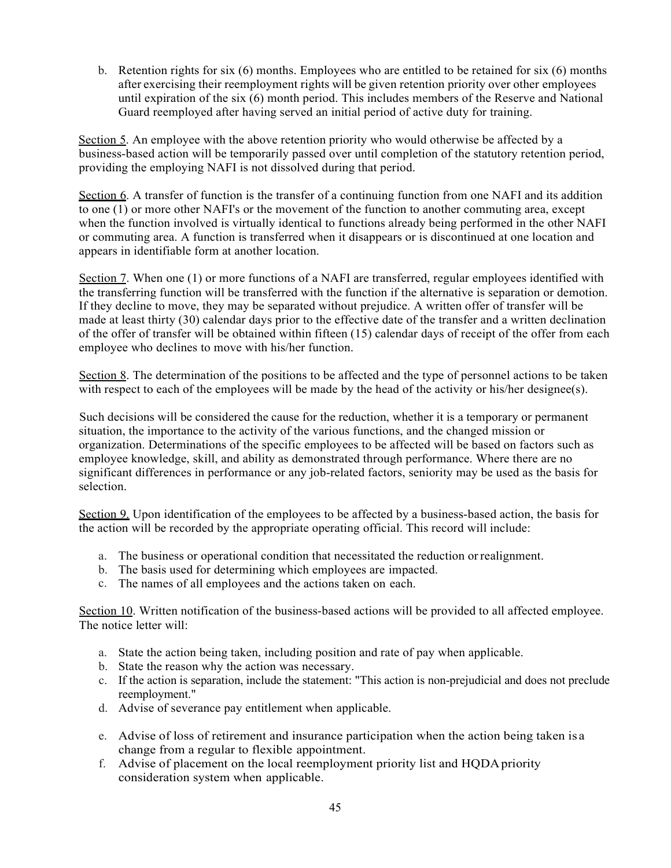b. Retention rights for six (6) months. Employees who are entitled to be retained for six (6) months after exercising their reemployment rights will be given retention priority over other employees until expiration of the six (6) month period. This includes members of the Reserve and National Guard reemployed after having served an initial period of active duty for training.

Section 5. An employee with the above retention priority who would otherwise be affected by a business-based action will be temporarily passed over until completion of the statutory retention period, providing the employing NAFI is not dissolved during that period.

Section 6. A transfer of function is the transfer of a continuing function from one NAFI and its addition to one (1) or more other NAFI's or the movement of the function to another commuting area, except when the function involved is virtually identical to functions already being performed in the other NAFI or commuting area. A function is transferred when it disappears or is discontinued at one location and appears in identifiable form at another location.

Section 7. When one (1) or more functions of a NAFI are transferred, regular employees identified with the transferring function will be transferred with the function if the alternative is separation or demotion. If they decline to move, they may be separated without prejudice. A written offer of transfer will be made at least thirty (30) calendar days prior to the effective date of the transfer and a written declination of the offer of transfer will be obtained within fifteen (15) calendar days of receipt of the offer from each employee who declines to move with his/her function.

Section 8. The determination of the positions to be affected and the type of personnel actions to be taken with respect to each of the employees will be made by the head of the activity or his/her designee(s).

Such decisions will be considered the cause for the reduction, whether it is a temporary or permanent situation, the importance to the activity of the various functions, and the changed mission or organization. Determinations of the specific employees to be affected will be based on factors such as employee knowledge, skill, and ability as demonstrated through performance. Where there are no significant differences in performance or any job-related factors, seniority may be used as the basis for selection.

Section 9. Upon identification of the employees to be affected by a business-based action, the basis for the action will be recorded by the appropriate operating official. This record will include:

- a. The business or operational condition that necessitated the reduction orrealignment.
- b. The basis used for determining which employees are impacted.
- c. The names of all employees and the actions taken on each.

Section 10. Written notification of the business-based actions will be provided to all affected employee. The notice letter will:

- a. State the action being taken, including position and rate of pay when applicable.
- b. State the reason why the action was necessary.
- c. If the action is separation, include the statement: "This action is non-prejudicial and does not preclude reemployment."
- d. Advise of severance pay entitlement when applicable.
- e. Advise of loss of retirement and insurance participation when the action being taken is a change from a regular to flexible appointment.
- f. Advise of placement on the local reemployment priority list and HQDApriority consideration system when applicable.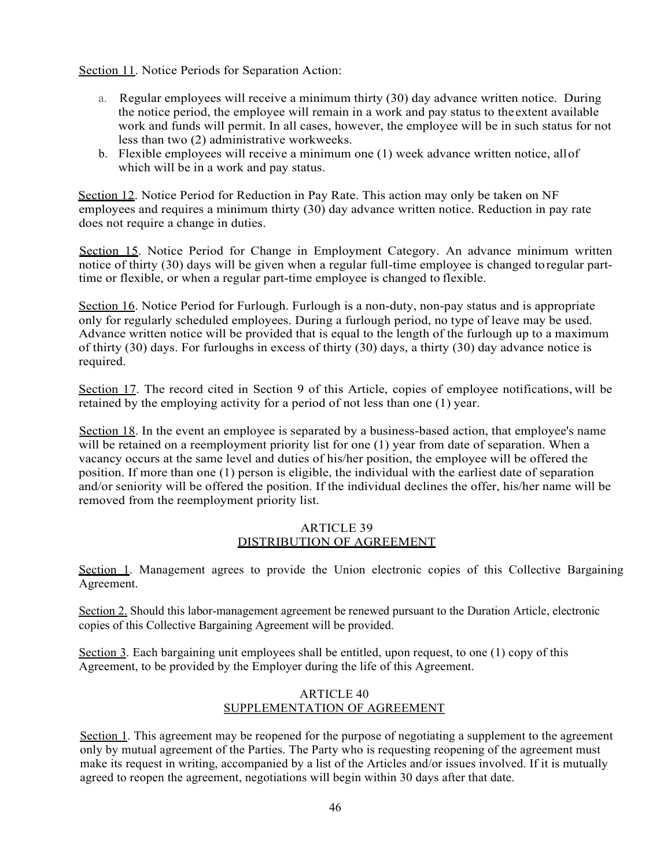Section 11. Notice Periods for Separation Action:

- a. Regular employees will receive a minimum thirty (30) day advance written notice. During the notice period, the employee will remain in a work and pay status to the extent available work and funds will permit. In all cases, however, the employee will be in such status for not less than two (2) administrative workweeks.
- b. Flexible employees will receive a minimum one (1) week advance written notice, allof which will be in a work and pay status.

Section 12. Notice Period for Reduction in Pay Rate. This action may only be taken on NF employees and requires a minimum thirty (30) day advance written notice. Reduction in pay rate does not require a change in duties.

Section 15. Notice Period for Change in Employment Category. An advance minimum written notice of thirty (30) days will be given when a regular full-time employee is changed toregular parttime or flexible, or when a regular part-time employee is changed to flexible.

Section 16. Notice Period for Furlough. Furlough is a non-duty, non-pay status and is appropriate only for regularly scheduled employees. During a furlough period, no type of leave may be used. Advance written notice will be provided that is equal to the length of the furlough up to a maximum of thirty (30) days. For furloughs in excess of thirty (30) days, a thirty (30) day advance notice is required.

Section 17. The record cited in Section 9 of this Article, copies of employee notifications, will be retained by the employing activity for a period of not less than one (1) year.

Section 18. In the event an employee is separated by a business-based action, that employee's name will be retained on a reemployment priority list for one (1) year from date of separation. When a vacancy occurs at the same level and duties of his/her position, the employee will be offered the position. If more than one (1) person is eligible, the individual with the earliest date of separation and/or seniority will be offered the position. If the individual declines the offer, his/her name will be removed from the reemployment priority list.

## ARTICLE 39 DISTRIBUTION OF AGREEMENT

Section 1. Management agrees to provide the Union electronic copies of this Collective Bargaining Agreement.

Section 2. Should this labor-management agreement be renewed pursuant to the Duration Article, electronic copies of this Collective Bargaining Agreement will be provided.

Section 3. Each bargaining unit employees shall be entitled, upon request, to one (1) copy of this Agreement, to be provided by the Employer during the life of this Agreement.

## ARTICLE 40 SUPPLEMENTATION OF AGREEMENT

Section 1. This agreement may be reopened for the purpose of negotiating a supplement to the agreement only by mutual agreement of the Parties. The Party who is requesting reopening of the agreement must make its request in writing, accompanied by a list of the Articles and/or issues involved. If it is mutually agreed to reopen the agreement, negotiations will begin within 30 days after that date.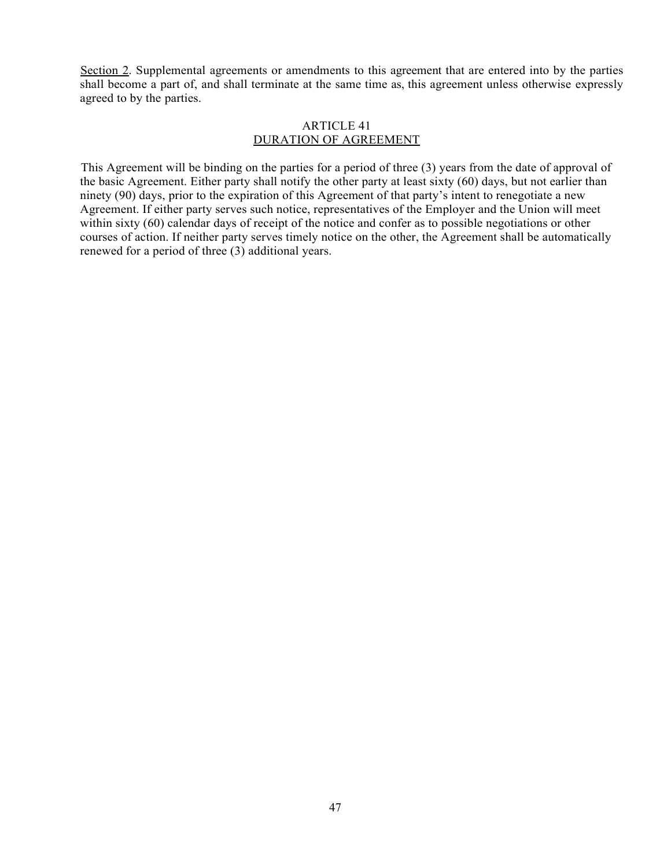Section 2. Supplemental agreements or amendments to this agreement that are entered into by the parties shall become a part of, and shall terminate at the same time as, this agreement unless otherwise expressly agreed to by the parties.

#### ARTICLE 41 DURATION OF AGREEMENT

This Agreement will be binding on the parties for a period of three (3) years from the date of approval of the basic Agreement. Either party shall notify the other party at least sixty (60) days, but not earlier than ninety (90) days, prior to the expiration of this Agreement of that party's intent to renegotiate a new Agreement. If either party serves such notice, representatives of the Employer and the Union will meet within sixty (60) calendar days of receipt of the notice and confer as to possible negotiations or other courses of action. If neither party serves timely notice on the other, the Agreement shall be automatically renewed for a period of three (3) additional years.